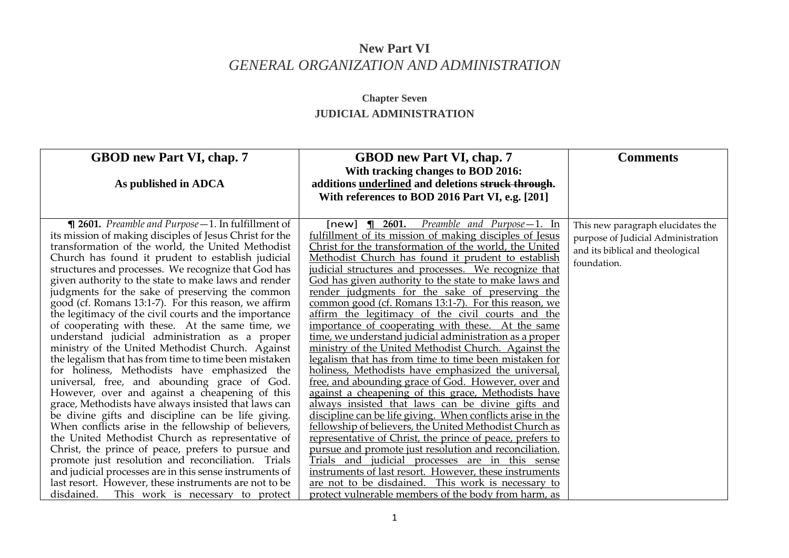## **New Part VI** *GENERAL ORGANIZATION AND ADMINISTRATION*

## **Chapter Seven JUDICIAL ADMINISTRATION**

| <b>GBOD</b> new Part VI, chap. 7                                                                                 | <b>GBOD</b> new Part VI, chap. 7                                                                             | <b>Comments</b>                    |
|------------------------------------------------------------------------------------------------------------------|--------------------------------------------------------------------------------------------------------------|------------------------------------|
|                                                                                                                  | With tracking changes to BOD 2016:                                                                           |                                    |
| As published in ADCA                                                                                             | additions underlined and deletions struck through.                                                           |                                    |
|                                                                                                                  | With references to BOD 2016 Part VI, e.g. [201]                                                              |                                    |
|                                                                                                                  |                                                                                                              |                                    |
| <b><math>\P</math></b> 2601. Preamble and Purpose $-1$ . In fulfillment of                                       | Preamble and Purpose $-1$ . In<br>2601.<br>$[new] \; \; \P$                                                  | This new paragraph elucidates the  |
| its mission of making disciples of Jesus Christ for the                                                          | fulfillment of its mission of making disciples of Jesus                                                      | purpose of Judicial Administration |
| transformation of the world, the United Methodist                                                                | Christ for the transformation of the world, the United                                                       | and its biblical and theological   |
| Church has found it prudent to establish judicial                                                                | Methodist Church has found it prudent to establish                                                           | foundation.                        |
| structures and processes. We recognize that God has                                                              | judicial structures and processes. We recognize that                                                         |                                    |
| given authority to the state to make laws and render<br>judgments for the sake of preserving the common          | God has given authority to the state to make laws and<br>render judgments for the sake of preserving the     |                                    |
| good (cf. Romans 13:1-7). For this reason, we affirm                                                             | common good (cf. Romans 13:1-7). For this reason, we                                                         |                                    |
| the legitimacy of the civil courts and the importance                                                            | affirm the legitimacy of the civil courts and the                                                            |                                    |
| of cooperating with these. At the same time, we                                                                  | importance of cooperating with these. At the same                                                            |                                    |
| understand judicial administration as a proper                                                                   | time, we understand judicial administration as a proper                                                      |                                    |
| ministry of the United Methodist Church. Against                                                                 | ministry of the United Methodist Church. Against the                                                         |                                    |
| the legalism that has from time to time been mistaken                                                            | legalism that has from time to time been mistaken for                                                        |                                    |
| for holiness, Methodists have emphasized the                                                                     | holiness, Methodists have emphasized the universal,                                                          |                                    |
| universal, free, and abounding grace of God.                                                                     | free, and abounding grace of God. However, over and                                                          |                                    |
| However, over and against a cheapening of this                                                                   | against a cheapening of this grace, Methodists have                                                          |                                    |
| grace, Methodists have always insisted that laws can                                                             | always insisted that laws can be divine gifts and                                                            |                                    |
| be divine gifts and discipline can be life giving.                                                               | discipline can be life giving. When conflicts arise in the                                                   |                                    |
| When conflicts arise in the fellowship of believers,                                                             | fellowship of believers, the United Methodist Church as                                                      |                                    |
| the United Methodist Church as representative of                                                                 | representative of Christ, the prince of peace, prefers to                                                    |                                    |
| Christ, the prince of peace, prefers to pursue and                                                               | pursue and promote just resolution and reconciliation.                                                       |                                    |
| promote just resolution and reconciliation. Trials                                                               | Trials and judicial processes are in this sense                                                              |                                    |
| and judicial processes are in this sense instruments of<br>last resort. However, these instruments are not to be | instruments of last resort. However, these instruments<br>are not to be disdained. This work is necessary to |                                    |
| disdained. This work is necessary to protect                                                                     | protect vulnerable members of the body from harm, as                                                         |                                    |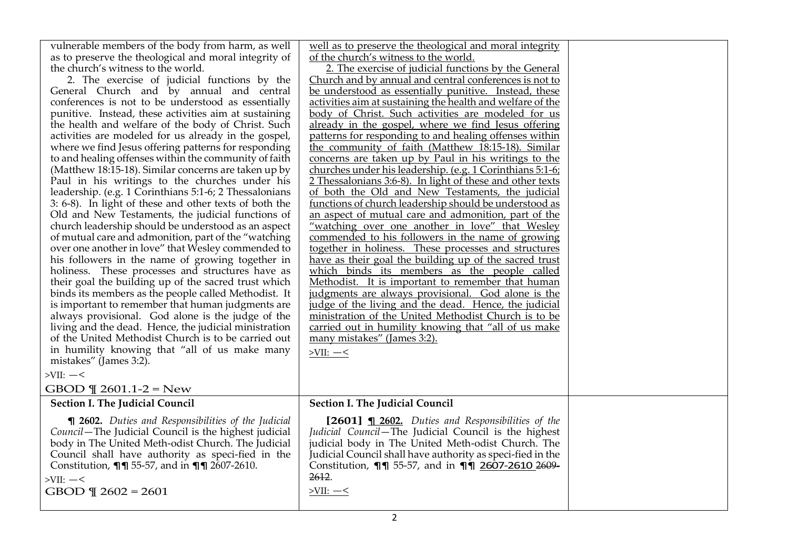vulnerable members of the body from harm, as well as to preserve the theological and moral integrity of the church's witness to the world.

2. The exercise of judicial functions by the exercise of judicial functions by the  $\frac{1}{2}$ General Church and by annual conferences is not to be understoc punitive. Instead, these activities a the health and welfare of the body activities are modeled for us alread where we find Jesus offering pattern to and healing offenses within the com-(Matthew  $18:15-18$ ). Similar concerns Paul in his writings to the chui leadership. (e.g. 1 Corinthians 5:1-6 3:  $6-8$ ). In light of these and other Old and New Testaments, the judi church leadership should be understown. of mutual care and admonition, part over one another in love" that  $W$ esley his followers in the name of grove holiness. These processes and str their goal the building up of the same binds its members as the people call is important to remember that human always provisional. God alone is living and the dead. Hence, the judi of the United Methodist Church is in humility knowing that "all of mistakes" (James 3:2).

>VII: *—<*

## GBOD  $\P$  2601.1-2 = New **Section I. The Judicial Council**

¶ **2602.** *Duties and Responsibilities of the Judicial Council* – The Judicial Council is the body in The United Meth-odist Church. Council shall have authority as s Constitution,  $\P\P$  55-57, and in  $\P\P$  2

>VII: *—<*

GBOD  $\P$  2602 = 2601

well as to preserve the theological and moral integrity of the church's witness to the world.

|                                                                                       | 2. The exercise of judicial functions by the General                                                                                                                                                                                        |  |
|---------------------------------------------------------------------------------------|---------------------------------------------------------------------------------------------------------------------------------------------------------------------------------------------------------------------------------------------|--|
| unctions by the<br>al and central                                                     | Church and by annual and central conferences is not to<br>be understood as essentially punitive. Instead, these                                                                                                                             |  |
| od as essentially<br>im at sustaining                                                 | activities aim at sustaining the health and welfare of the<br>body of Christ. Such activities are modeled for us                                                                                                                            |  |
| y of Christ. Such<br>dy in the gospel,                                                | already in the gospel, where we find Jesus offering<br>patterns for responding to and healing offenses within                                                                                                                               |  |
| ns for responding<br>mmunity of faith<br>s are taken up by                            | the community of faith (Matthew 18:15-18). Similar<br>concerns are taken up by Paul in his writings to the<br>churches under his leadership. (e.g. 1 Corinthians 5:1-6;                                                                     |  |
| rches under his<br>; 2 Thessalonians                                                  | 2 Thessalonians 3:6-8). In light of these and other texts<br>of both the Old and New Testaments, the judicial                                                                                                                               |  |
| texts of both the<br>icial functions of<br>tood as an aspect                          | functions of church leadership should be understood as<br>an aspect of mutual care and admonition, part of the<br>"watching over one another in love" that Wesley                                                                           |  |
| of the "watching<br>ey commended to<br>wing together in                               | commended to his followers in the name of growing<br>together in holiness. These processes and structures<br>have as their goal the building up of the sacred trust                                                                         |  |
| ructures have as<br>cred trust which                                                  | which binds its members as the people called<br>Methodist. It is important to remember that human                                                                                                                                           |  |
| led Methodist. It<br>an judgments are<br>the judge of the                             | judgments are always provisional. God alone is the<br>judge of the living and the dead. Hence, the judicial<br>ministration of the United Methodist Church is to be                                                                         |  |
| icial ministration<br>to be carried out                                               | carried out in humility knowing that "all of us make<br>many mistakes" (James 3:2).                                                                                                                                                         |  |
| us make many                                                                          | $>$ VII: $-$                                                                                                                                                                                                                                |  |
|                                                                                       |                                                                                                                                                                                                                                             |  |
|                                                                                       | Section I. The Judicial Council                                                                                                                                                                                                             |  |
| ties of the Judicial<br>e highest judicial<br>ırch. The Judicial<br>speci-fied in the | <b>[2601] <u>¶ 2602.</u></b> Duties and Responsibilities of the<br>Judicial Council-The Judicial Council is the highest<br>judicial body in The United Meth-odist Church. The<br>Judicial Council shall have authority as speci-fied in the |  |
| 2607-2610.                                                                            | Constitution, <b>¶1</b> 55-57, and in <b>¶1</b> 2607-2610 2609<br>2612.<br>$>VII: -0$                                                                                                                                                       |  |
|                                                                                       |                                                                                                                                                                                                                                             |  |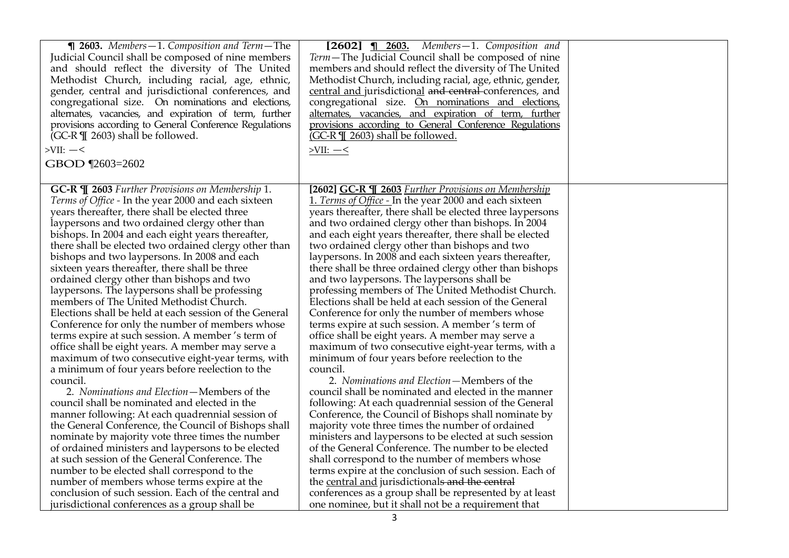| <b><math>\P</math> 2603.</b> Members -1. Composition and Term - The | [2602] $\eta$ 2603. Members-1. Composition and            |  |
|---------------------------------------------------------------------|-----------------------------------------------------------|--|
| Judicial Council shall be composed of nine members                  | Term-The Judicial Council shall be composed of nine       |  |
| and should reflect the diversity of The United                      | members and should reflect the diversity of The United    |  |
| Methodist Church, including racial, age, ethnic,                    | Methodist Church, including racial, age, ethnic, gender,  |  |
| gender, central and jurisdictional conferences, and                 | central and jurisdictional and central conferences, and   |  |
| congregational size. On nominations and elections,                  | congregational size. On nominations and elections,        |  |
| alternates, vacancies, and expiration of term, further              | alternates, vacancies, and expiration of term, further    |  |
| provisions according to General Conference Regulations              | provisions according to General Conference Regulations    |  |
| (GC-R $\mathbb{I}$ 2603) shall be followed.                         | <b>(GC-R T 2603)</b> shall be followed.                   |  |
| $>$ VII: $-$                                                        |                                                           |  |
|                                                                     | $>VII:$ $-$                                               |  |
| GBOD 12603=2602                                                     |                                                           |  |
|                                                                     |                                                           |  |
| <b>GC-R II 2603</b> Further Provisions on Membership 1.             | [2602] GC-R T 2603 Further Provisions on Membership       |  |
| Terms of Office - In the year 2000 and each sixteen                 | 1. Terms of Office - In the year 2000 and each sixteen    |  |
| years thereafter, there shall be elected three                      | years thereafter, there shall be elected three laypersons |  |
| laypersons and two ordained clergy other than                       | and two ordained clergy other than bishops. In 2004       |  |
| bishops. In 2004 and each eight years thereafter,                   | and each eight years thereafter, there shall be elected   |  |
| there shall be elected two ordained clergy other than               | two ordained clergy other than bishops and two            |  |
| bishops and two laypersons. In 2008 and each                        | laypersons. In 2008 and each sixteen years thereafter,    |  |
| sixteen years thereafter, there shall be three                      | there shall be three ordained clergy other than bishops   |  |
| ordained clergy other than bishops and two                          | and two laypersons. The laypersons shall be               |  |
| laypersons. The laypersons shall be professing                      | professing members of The United Methodist Church.        |  |
| members of The United Methodist Church.                             | Elections shall be held at each session of the General    |  |
| Elections shall be held at each session of the General              | Conference for only the number of members whose           |  |
| Conference for only the number of members whose                     | terms expire at such session. A member's term of          |  |
| terms expire at such session. A member 's term of                   | office shall be eight years. A member may serve a         |  |
| office shall be eight years. A member may serve a                   | maximum of two consecutive eight-year terms, with a       |  |
| maximum of two consecutive eight-year terms, with                   | minimum of four years before reelection to the            |  |
| a minimum of four years before reelection to the                    | council.                                                  |  |
| council.                                                            | 2. Nominations and Election-Members of the                |  |
| 2. Nominations and Election-Members of the                          | council shall be nominated and elected in the manner      |  |
| council shall be nominated and elected in the                       | following: At each quadrennial session of the General     |  |
| manner following: At each quadrennial session of                    | Conference, the Council of Bishops shall nominate by      |  |
| the General Conference, the Council of Bishops shall                | majority vote three times the number of ordained          |  |
| nominate by majority vote three times the number                    | ministers and laypersons to be elected at such session    |  |
| of ordained ministers and laypersons to be elected                  | of the General Conference. The number to be elected       |  |
| at such session of the General Conference. The                      | shall correspond to the number of members whose           |  |
| number to be elected shall correspond to the                        | terms expire at the conclusion of such session. Each of   |  |
| number of members whose terms expire at the                         | the central and jurisdictionals and the central           |  |
| conclusion of such session. Each of the central and                 | conferences as a group shall be represented by at least   |  |
| jurisdictional conferences as a group shall be                      | one nominee, but it shall not be a requirement that       |  |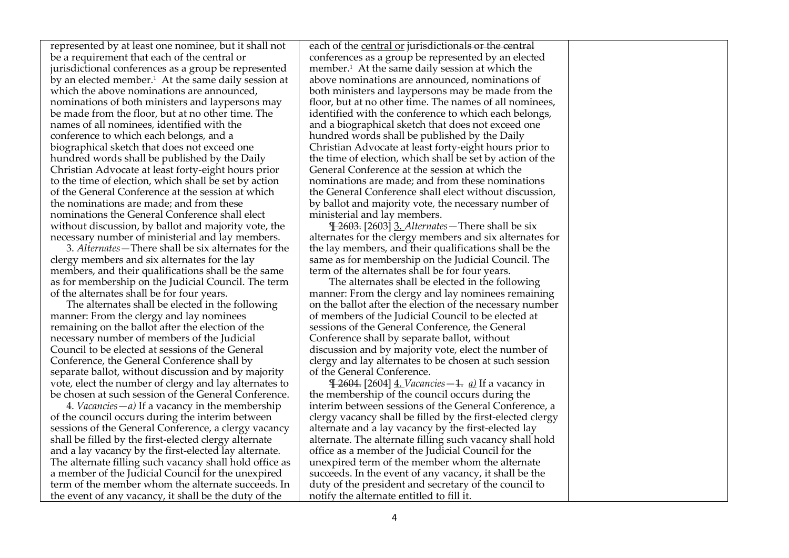represented by at least one nominee, but it shall not be a requirement that each of the central or jurisdictional conferences as a group be represented by an elected member.<sup>1</sup> At the same daily session at which the above nominations are announced. nominations of both ministers and laypersons may be made from the floor, but at no other time. The names of all nominees, identified with the conference to which each belongs, and a biographical sketch that does not exceed one hundred words shall be published by the Daily Christian Advocate at least forty-eight hours prior to the time of election, which shall be set by action of the General Conference at the session at which the nominations are made; and from these nominations the General Conference shall elect without discussion, by ballot and majority vote, the necessary number of ministerial and lay members.

3. *Alternates*—There shall be six alternates for the clergy members and six alternates for the lay members, and their qualifications shall be the same as for membership on the Judicial Council. The term of the alternates shall be for four years.

The alternates shall be elected in the following manner: From the clergy and lay nominees remaining on the ballot after the election of the necessary number of members of the Judicial Council to be elected at sessions of the General Conference, the General Conference shall by separate ballot, without discussion and by majority vote, elect the number of clergy and lay alternates to be chosen at such session of the General Conference.

4. *Vacancies*—*a)* If a vacancy in the membership of the council occurs during the interim between sessions of the General Conference, a clergy vacancy shall be filled by the first-elected clergy alternate and a lay vacancy by the first-elected lay alternate. The alternate filling such vacancy shall hold office as a member of the Judicial Council for the unexpired term of the member whom the alternate succeeds. In the event of any vacancy, it shall be the duty of the

each of the central or jurisdictionals or the central conferences as a group be represented by an elected member.<sup>1</sup> At the same daily session at which the above nominations are announced, nominations of both ministers and laypersons may be made from the floor, but at no other time. The names of all nominees, identified with the conference to which each belongs, and a biographical sketch that does not exceed one hundred words shall be published by the Daily Christian Advocate at least forty-eight hours prior to the time of election, which shall be set by action of the General Conference at the session at which the nominations are made; and from these nominations the General Conference shall elect without discussion, by ballot and majority vote, the necessary number of ministerial and lay members.

¶ 2603. [2603] 3. *Alternates*—There shall be six alternates for the clergy members and six alternates for the lay members, and their qualifications shall be the same as for membership on the Judicial Council. The term of the alternates shall be for four years.

The alternates shall be elected in the following manner: From the clergy and lay nominees remaining on the ballot after the election of the necessary number of members of the Judicial Council to be elected at sessions of the General Conference, the General Conference shall by separate ballot, without discussion and by majority vote, elect the number of clergy and lay alternates to be chosen at such session of the General Conference.

¶ 2604. [2604] 4. *Vacancies*—1. *a)* If a vacancy in the membership of the council occurs during the interim between sessions of the General Conference, a clergy vacancy shall be filled by the first-elected clergy alternate and a lay vacancy by the first-elected lay alternate. The alternate filling such vacancy shall hold office as a member of the Judicial Council for the unexpired term of the member whom the alternate succeeds. In the event of any vacancy, it shall be the duty of the president and secretary of the council to notify the alternate entitled to fill it.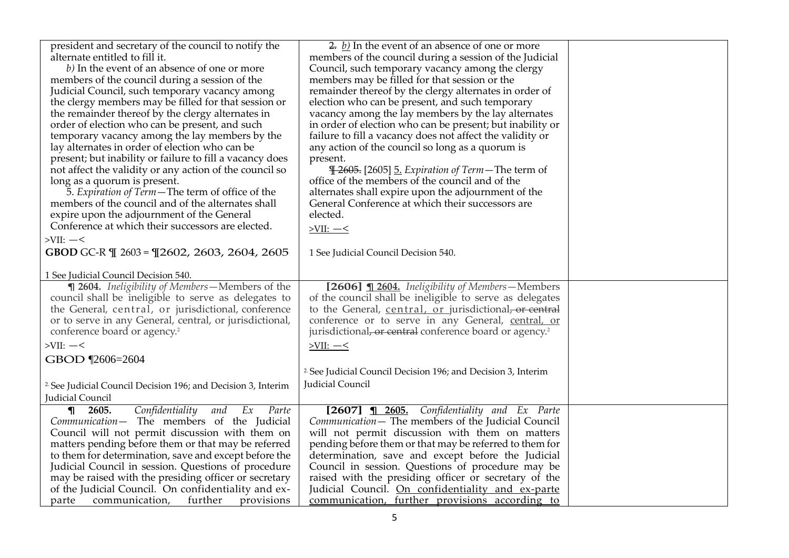| president and secretary of the council to notify the                    | $\frac{1}{2}$ . b) In the event of an absence of one or more             |  |
|-------------------------------------------------------------------------|--------------------------------------------------------------------------|--|
| alternate entitled to fill it.                                          | members of the council during a session of the Judicial                  |  |
| b) In the event of an absence of one or more                            | Council, such temporary vacancy among the clergy                         |  |
| members of the council during a session of the                          | members may be filled for that session or the                            |  |
| Judicial Council, such temporary vacancy among                          | remainder thereof by the clergy alternates in order of                   |  |
| the clergy members may be filled for that session or                    | election who can be present, and such temporary                          |  |
| the remainder thereof by the clergy alternates in                       | vacancy among the lay members by the lay alternates                      |  |
| order of election who can be present, and such                          | in order of election who can be present; but inability or                |  |
| temporary vacancy among the lay members by the                          | failure to fill a vacancy does not affect the validity or                |  |
| lay alternates in order of election who can be                          | any action of the council so long as a quorum is                         |  |
| present; but inability or failure to fill a vacancy does                | present.                                                                 |  |
| not affect the validity or any action of the council so                 | <b>H</b> 2605. [2605] 5. Expiration of Term – The term of                |  |
| long as a quorum is present.                                            | office of the members of the council and of the                          |  |
| 5. Expiration of Term-The term of office of the                         | alternates shall expire upon the adjournment of the                      |  |
| members of the council and of the alternates shall                      | General Conference at which their successors are                         |  |
| expire upon the adjournment of the General                              | elected.                                                                 |  |
| Conference at which their successors are elected.                       | $>$ VII: $-$                                                             |  |
| $>$ VII: $-$                                                            |                                                                          |  |
| GBOD GC-R $\mathbb{I}$ 2603 = $\mathbb{I}$ 2602, 2603, 2604, 2605       | 1 See Judicial Council Decision 540.                                     |  |
|                                                                         |                                                                          |  |
| 1 See Judicial Council Decision 540.                                    |                                                                          |  |
| ¶ 2604. Ineligibility of Members-Members of the                         | [2606] 1 2604. Ineligibility of Members-Members                          |  |
| council shall be ineligible to serve as delegates to                    | of the council shall be ineligible to serve as delegates                 |  |
| the General, central, or jurisdictional, conference                     | to the General, central, or jurisdictional, or central                   |  |
| or to serve in any General, central, or jurisdictional,                 | conference or to serve in any General, central, or                       |  |
| conference board or agency. <sup>2</sup>                                | jurisdictional, or central conference board or agency. <sup>2</sup>      |  |
| $>$ VII: $-$                                                            | $>$ VII: $-$                                                             |  |
|                                                                         |                                                                          |  |
| GBOD 12606=2604                                                         |                                                                          |  |
|                                                                         | <sup>2.</sup> See Judicial Council Decision 196; and Decision 3, Interim |  |
| <sup>2</sup> See Judicial Council Decision 196; and Decision 3, Interim | Judicial Council                                                         |  |
| Judicial Council                                                        |                                                                          |  |
| $\P$ 2605.<br>Confidentiality<br>Ex<br>Parte<br>and                     | [2607] <b>[2605.</b> Confidentiality and Ex Parte                        |  |
| Communication- The members of the Judicial                              | Communication - The members of the Judicial Council                      |  |
| Council will not permit discussion with them on                         | will not permit discussion with them on matters                          |  |
| matters pending before them or that may be referred                     | pending before them or that may be referred to them for                  |  |
| to them for determination, save and except before the                   | determination, save and except before the Judicial                       |  |
| Judicial Council in session. Questions of procedure                     | Council in session. Questions of procedure may be                        |  |
| may be raised with the presiding officer or secretary                   | raised with the presiding officer or secretary of the                    |  |
| of the Judicial Council. On confidentiality and ex-                     | Judicial Council. On confidentiality and ex-parte                        |  |
| communication,<br>further<br>provisions<br>parte                        | <u>communication, further provisions according to</u>                    |  |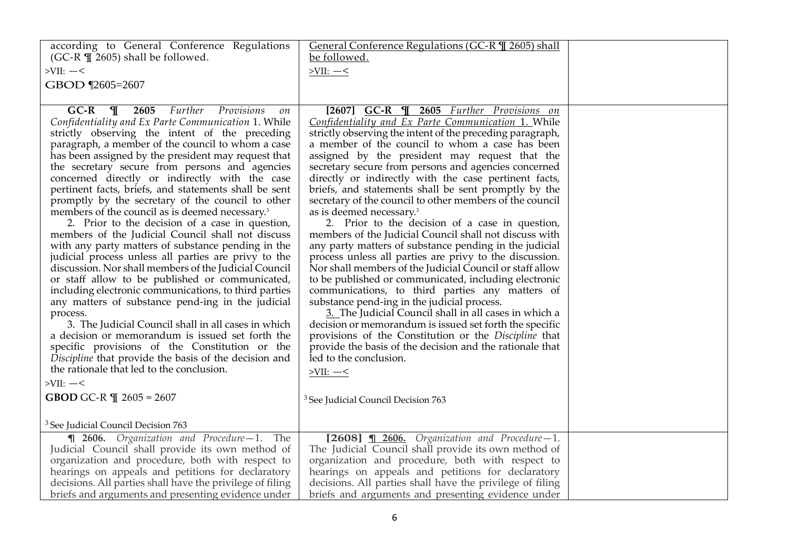| according to General Conference Regulations                                                                                                                                                                                                                                                                                                                                                                                                                                                                                                                                                                                                                                                                                                                                                                                                                                                                                                                                                                                                                                                                                                                                                                                              | General Conference Regulations (GC-R T 2605) shall                                                                                                                                                                                                                                                                                                                                                                                                                                                                                                                                                                                                                                                                                                                                                                                                                                                                                                                                                                                                                                                                                                                                                                                                                          |  |
|------------------------------------------------------------------------------------------------------------------------------------------------------------------------------------------------------------------------------------------------------------------------------------------------------------------------------------------------------------------------------------------------------------------------------------------------------------------------------------------------------------------------------------------------------------------------------------------------------------------------------------------------------------------------------------------------------------------------------------------------------------------------------------------------------------------------------------------------------------------------------------------------------------------------------------------------------------------------------------------------------------------------------------------------------------------------------------------------------------------------------------------------------------------------------------------------------------------------------------------|-----------------------------------------------------------------------------------------------------------------------------------------------------------------------------------------------------------------------------------------------------------------------------------------------------------------------------------------------------------------------------------------------------------------------------------------------------------------------------------------------------------------------------------------------------------------------------------------------------------------------------------------------------------------------------------------------------------------------------------------------------------------------------------------------------------------------------------------------------------------------------------------------------------------------------------------------------------------------------------------------------------------------------------------------------------------------------------------------------------------------------------------------------------------------------------------------------------------------------------------------------------------------------|--|
| (GC-R $\P$ 2605) shall be followed.                                                                                                                                                                                                                                                                                                                                                                                                                                                                                                                                                                                                                                                                                                                                                                                                                                                                                                                                                                                                                                                                                                                                                                                                      | be followed.                                                                                                                                                                                                                                                                                                                                                                                                                                                                                                                                                                                                                                                                                                                                                                                                                                                                                                                                                                                                                                                                                                                                                                                                                                                                |  |
| $>$ VII: $-$                                                                                                                                                                                                                                                                                                                                                                                                                                                                                                                                                                                                                                                                                                                                                                                                                                                                                                                                                                                                                                                                                                                                                                                                                             | $>$ VII: $-$                                                                                                                                                                                                                                                                                                                                                                                                                                                                                                                                                                                                                                                                                                                                                                                                                                                                                                                                                                                                                                                                                                                                                                                                                                                                |  |
| GBOD 12605=2607                                                                                                                                                                                                                                                                                                                                                                                                                                                                                                                                                                                                                                                                                                                                                                                                                                                                                                                                                                                                                                                                                                                                                                                                                          |                                                                                                                                                                                                                                                                                                                                                                                                                                                                                                                                                                                                                                                                                                                                                                                                                                                                                                                                                                                                                                                                                                                                                                                                                                                                             |  |
|                                                                                                                                                                                                                                                                                                                                                                                                                                                                                                                                                                                                                                                                                                                                                                                                                                                                                                                                                                                                                                                                                                                                                                                                                                          |                                                                                                                                                                                                                                                                                                                                                                                                                                                                                                                                                                                                                                                                                                                                                                                                                                                                                                                                                                                                                                                                                                                                                                                                                                                                             |  |
| $G C-R$ $\P$<br>2605 Further<br>Provisions<br>on<br>Confidentiality and Ex Parte Communication 1. While<br>strictly observing the intent of the preceding<br>paragraph, a member of the council to whom a case<br>has been assigned by the president may request that<br>the secretary secure from persons and agencies<br>concerned directly or indirectly with the case<br>pertinent facts, briefs, and statements shall be sent<br>promptly by the secretary of the council to other<br>members of the council as is deemed necessary. <sup>3</sup><br>2. Prior to the decision of a case in question,<br>members of the Judicial Council shall not discuss<br>with any party matters of substance pending in the<br>judicial process unless all parties are privy to the<br>discussion. Nor shall members of the Judicial Council<br>or staff allow to be published or communicated,<br>including electronic communications, to third parties<br>any matters of substance pend-ing in the judicial<br>process.<br>3. The Judicial Council shall in all cases in which<br>a decision or memorandum is issued set forth the<br>specific provisions of the Constitution or the<br>Discipline that provide the basis of the decision and | [2607] GC-R II 2605 Further Provisions on<br>Confidentiality and Ex Parte Communication 1. While<br>strictly observing the intent of the preceding paragraph,<br>a member of the council to whom a case has been<br>assigned by the president may request that the<br>secretary secure from persons and agencies concerned<br>directly or indirectly with the case pertinent facts,<br>briefs, and statements shall be sent promptly by the<br>secretary of the council to other members of the council<br>as is deemed necessary. <sup>3</sup><br>2. Prior to the decision of a case in question,<br>members of the Judicial Council shall not discuss with<br>any party matters of substance pending in the judicial<br>process unless all parties are privy to the discussion.<br>Nor shall members of the Judicial Council or staff allow<br>to be published or communicated, including electronic<br>communications, to third parties any matters of<br>substance pend-ing in the judicial process.<br>3. The Judicial Council shall in all cases in which a<br>decision or memorandum is issued set forth the specific<br>provisions of the Constitution or the Discipline that<br>provide the basis of the decision and the rationale that<br>led to the conclusion. |  |
| the rationale that led to the conclusion.                                                                                                                                                                                                                                                                                                                                                                                                                                                                                                                                                                                                                                                                                                                                                                                                                                                                                                                                                                                                                                                                                                                                                                                                | $>VII:$ $-$                                                                                                                                                                                                                                                                                                                                                                                                                                                                                                                                                                                                                                                                                                                                                                                                                                                                                                                                                                                                                                                                                                                                                                                                                                                                 |  |
| $>$ VII: $-$                                                                                                                                                                                                                                                                                                                                                                                                                                                                                                                                                                                                                                                                                                                                                                                                                                                                                                                                                                                                                                                                                                                                                                                                                             |                                                                                                                                                                                                                                                                                                                                                                                                                                                                                                                                                                                                                                                                                                                                                                                                                                                                                                                                                                                                                                                                                                                                                                                                                                                                             |  |
| <b>GBOD</b> GC-R $\text{T}$ 2605 = 2607                                                                                                                                                                                                                                                                                                                                                                                                                                                                                                                                                                                                                                                                                                                                                                                                                                                                                                                                                                                                                                                                                                                                                                                                  | <sup>3</sup> See Judicial Council Decision 763                                                                                                                                                                                                                                                                                                                                                                                                                                                                                                                                                                                                                                                                                                                                                                                                                                                                                                                                                                                                                                                                                                                                                                                                                              |  |
|                                                                                                                                                                                                                                                                                                                                                                                                                                                                                                                                                                                                                                                                                                                                                                                                                                                                                                                                                                                                                                                                                                                                                                                                                                          |                                                                                                                                                                                                                                                                                                                                                                                                                                                                                                                                                                                                                                                                                                                                                                                                                                                                                                                                                                                                                                                                                                                                                                                                                                                                             |  |
| <sup>3</sup> See Judicial Council Decision 763                                                                                                                                                                                                                                                                                                                                                                                                                                                                                                                                                                                                                                                                                                                                                                                                                                                                                                                                                                                                                                                                                                                                                                                           |                                                                                                                                                                                                                                                                                                                                                                                                                                                                                                                                                                                                                                                                                                                                                                                                                                                                                                                                                                                                                                                                                                                                                                                                                                                                             |  |
| <b><math>\blacksquare</math> 2606.</b> Organization and Procedure $-1$ . The<br>Judicial Council shall provide its own method of<br>organization and procedure, both with respect to<br>hearings on appeals and petitions for declaratory<br>decisions. All parties shall have the privilege of filing                                                                                                                                                                                                                                                                                                                                                                                                                                                                                                                                                                                                                                                                                                                                                                                                                                                                                                                                   | [2608] $\mathbb{q}$ 2606. Organization and Procedure-1.<br>The Judicial Council shall provide its own method of<br>organization and procedure, both with respect to<br>hearings on appeals and petitions for declaratory<br>decisions. All parties shall have the privilege of filing                                                                                                                                                                                                                                                                                                                                                                                                                                                                                                                                                                                                                                                                                                                                                                                                                                                                                                                                                                                       |  |
| briefs and arguments and presenting evidence under                                                                                                                                                                                                                                                                                                                                                                                                                                                                                                                                                                                                                                                                                                                                                                                                                                                                                                                                                                                                                                                                                                                                                                                       | briefs and arguments and presenting evidence under                                                                                                                                                                                                                                                                                                                                                                                                                                                                                                                                                                                                                                                                                                                                                                                                                                                                                                                                                                                                                                                                                                                                                                                                                          |  |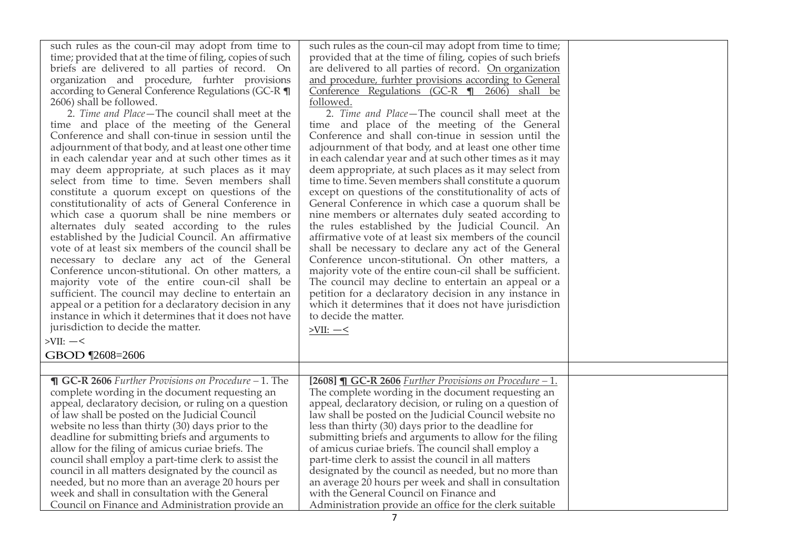| such rules as the coun-cil may adopt from time to<br>time; provided that at the time of filing, copies of such | such rules as the coun-cil may adopt from time to time;<br>provided that at the time of filing, copies of such briefs |  |
|----------------------------------------------------------------------------------------------------------------|-----------------------------------------------------------------------------------------------------------------------|--|
| briefs are delivered to all parties of record. On<br>organization and procedure, furhter provisions            | are delivered to all parties of record. On organization<br>and procedure, furhter provisions according to General     |  |
| according to General Conference Regulations (GC-R ¶                                                            | Conference Regulations (GC-R $\P$ 2606) shall be                                                                      |  |
| 2606) shall be followed.                                                                                       | followed.                                                                                                             |  |
| 2. Time and Place-The council shall meet at the                                                                | 2. Time and Place-The council shall meet at the                                                                       |  |
| time and place of the meeting of the General                                                                   | time and place of the meeting of the General                                                                          |  |
| Conference and shall con-tinue in session until the                                                            | Conference and shall con-tinue in session until the                                                                   |  |
| adjournment of that body, and at least one other time                                                          | adjournment of that body, and at least one other time                                                                 |  |
| in each calendar year and at such other times as it                                                            | in each calendar year and at such other times as it may                                                               |  |
| may deem appropriate, at such places as it may                                                                 | deem appropriate, at such places as it may select from                                                                |  |
| select from time to time. Seven members shall                                                                  | time to time. Seven members shall constitute a quorum                                                                 |  |
| constitute a quorum except on questions of the                                                                 | except on questions of the constitutionality of acts of                                                               |  |
| constitutionality of acts of General Conference in                                                             | General Conference in which case a quorum shall be                                                                    |  |
| which case a quorum shall be nine members or                                                                   | nine members or alternates duly seated according to                                                                   |  |
| alternates duly seated according to the rules                                                                  | the rules established by the Judicial Council. An                                                                     |  |
| established by the Judicial Council. An affirmative                                                            | affirmative vote of at least six members of the council                                                               |  |
| vote of at least six members of the council shall be                                                           | shall be necessary to declare any act of the General                                                                  |  |
| necessary to declare any act of the General                                                                    | Conference uncon-stitutional. On other matters, a                                                                     |  |
| Conference uncon-stitutional. On other matters, a                                                              | majority vote of the entire coun-cil shall be sufficient.                                                             |  |
| majority vote of the entire coun-cil shall be<br>sufficient. The council may decline to entertain an           | The council may decline to entertain an appeal or a<br>petition for a declaratory decision in any instance in         |  |
| appeal or a petition for a declaratory decision in any                                                         | which it determines that it does not have jurisdiction                                                                |  |
| instance in which it determines that it does not have                                                          | to decide the matter.                                                                                                 |  |
| jurisdiction to decide the matter.                                                                             |                                                                                                                       |  |
| $>$ VII: $-$                                                                                                   | $>$ VII: $-$                                                                                                          |  |
| GBOD 12608=2606                                                                                                |                                                                                                                       |  |
|                                                                                                                |                                                                                                                       |  |
| $\P$ GC-R 2606 Further Provisions on Procedure $-1$ . The                                                      | [2608] $\eta$ GC-R 2606 Further Provisions on Procedure -1.                                                           |  |
| complete wording in the document requesting an                                                                 | The complete wording in the document requesting an                                                                    |  |
| appeal, declaratory decision, or ruling on a question                                                          | appeal, declaratory decision, or ruling on a question of                                                              |  |
| of law shall be posted on the Judicial Council                                                                 | law shall be posted on the Judicial Council website no                                                                |  |
| website no less than thirty (30) days prior to the                                                             | less than thirty (30) days prior to the deadline for                                                                  |  |
| deadline for submitting briefs and arguments to                                                                | submitting briefs and arguments to allow for the filing                                                               |  |
| allow for the filing of amicus curiae briefs. The                                                              | of amicus curiae briefs. The council shall employ a                                                                   |  |
| council shall employ a part-time clerk to assist the                                                           | part-time clerk to assist the council in all matters                                                                  |  |
| council in all matters designated by the council as                                                            | designated by the council as needed, but no more than                                                                 |  |
| needed, but no more than an average 20 hours per                                                               | an average 20 hours per week and shall in consultation                                                                |  |
| week and shall in consultation with the General                                                                | with the General Council on Finance and                                                                               |  |
| Council on Finance and Administration provide an                                                               | Administration provide an office for the clerk suitable                                                               |  |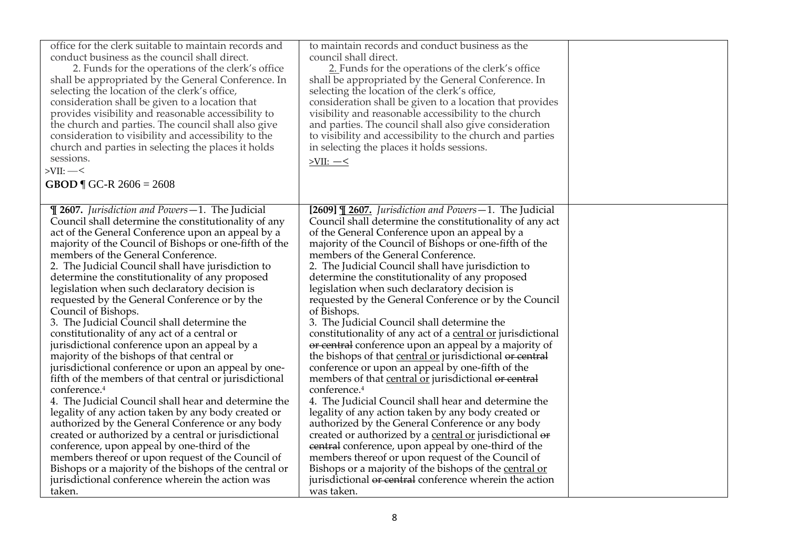| office for the clerk suitable to maintain records and<br>conduct business as the council shall direct.<br>2. Funds for the operations of the clerk's office<br>shall be appropriated by the General Conference. In<br>selecting the location of the clerk's office,<br>consideration shall be given to a location that<br>provides visibility and reasonable accessibility to<br>the church and parties. The council shall also give<br>consideration to visibility and accessibility to the<br>church and parties in selecting the places it holds<br>sessions.<br>$>$ VII: $-$ <                                                                                                                                                                                                                                                                                                                                                                                                                                                                                                                                                                                                                                                                                                                    | to maintain records and conduct business as the<br>council shall direct.<br>2. Funds for the operations of the clerk's office<br>shall be appropriated by the General Conference. In<br>selecting the location of the clerk's office,<br>consideration shall be given to a location that provides<br>visibility and reasonable accessibility to the church<br>and parties. The council shall also give consideration<br>to visibility and accessibility to the church and parties<br>in selecting the places it holds sessions.<br>$>$ VII: $-$                                                                                                                                                                                                                                                                                                                                                                                                                                                                                                                                                                                                                                                                                                                                                                                                                                  |  |
|-------------------------------------------------------------------------------------------------------------------------------------------------------------------------------------------------------------------------------------------------------------------------------------------------------------------------------------------------------------------------------------------------------------------------------------------------------------------------------------------------------------------------------------------------------------------------------------------------------------------------------------------------------------------------------------------------------------------------------------------------------------------------------------------------------------------------------------------------------------------------------------------------------------------------------------------------------------------------------------------------------------------------------------------------------------------------------------------------------------------------------------------------------------------------------------------------------------------------------------------------------------------------------------------------------|----------------------------------------------------------------------------------------------------------------------------------------------------------------------------------------------------------------------------------------------------------------------------------------------------------------------------------------------------------------------------------------------------------------------------------------------------------------------------------------------------------------------------------------------------------------------------------------------------------------------------------------------------------------------------------------------------------------------------------------------------------------------------------------------------------------------------------------------------------------------------------------------------------------------------------------------------------------------------------------------------------------------------------------------------------------------------------------------------------------------------------------------------------------------------------------------------------------------------------------------------------------------------------------------------------------------------------------------------------------------------------|--|
| <b>GBOD</b> $\P$ GC-R 2606 = 2608                                                                                                                                                                                                                                                                                                                                                                                                                                                                                                                                                                                                                                                                                                                                                                                                                                                                                                                                                                                                                                                                                                                                                                                                                                                                     |                                                                                                                                                                                                                                                                                                                                                                                                                                                                                                                                                                                                                                                                                                                                                                                                                                                                                                                                                                                                                                                                                                                                                                                                                                                                                                                                                                                  |  |
|                                                                                                                                                                                                                                                                                                                                                                                                                                                                                                                                                                                                                                                                                                                                                                                                                                                                                                                                                                                                                                                                                                                                                                                                                                                                                                       |                                                                                                                                                                                                                                                                                                                                                                                                                                                                                                                                                                                                                                                                                                                                                                                                                                                                                                                                                                                                                                                                                                                                                                                                                                                                                                                                                                                  |  |
| $\P$ 2607. Jurisdiction and Powers - 1. The Judicial<br>Council shall determine the constitutionality of any<br>act of the General Conference upon an appeal by a<br>majority of the Council of Bishops or one-fifth of the<br>members of the General Conference.<br>2. The Judicial Council shall have jurisdiction to<br>determine the constitutionality of any proposed<br>legislation when such declaratory decision is<br>requested by the General Conference or by the<br>Council of Bishops.<br>3. The Judicial Council shall determine the<br>constitutionality of any act of a central or<br>jurisdictional conference upon an appeal by a<br>majority of the bishops of that central or<br>jurisdictional conference or upon an appeal by one-<br>fifth of the members of that central or jurisdictional<br>conference. <sup>4</sup><br>4. The Judicial Council shall hear and determine the<br>legality of any action taken by any body created or<br>authorized by the General Conference or any body<br>created or authorized by a central or jurisdictional<br>conference, upon appeal by one-third of the<br>members thereof or upon request of the Council of<br>Bishops or a majority of the bishops of the central or<br>jurisdictional conference wherein the action was<br>taken. | [2609] $\frac{1}{2}$ 2607. <i>Jurisdiction and Powers</i> -1. The Judicial<br>Council shall determine the constitutionality of any act<br>of the General Conference upon an appeal by a<br>majority of the Council of Bishops or one-fifth of the<br>members of the General Conference.<br>2. The Judicial Council shall have jurisdiction to<br>determine the constitutionality of any proposed<br>legislation when such declaratory decision is<br>requested by the General Conference or by the Council<br>of Bishops.<br>3. The Judicial Council shall determine the<br>constitutionality of any act of a central or jurisdictional<br>or central conference upon an appeal by a majority of<br>the bishops of that central or jurisdictional or central<br>conference or upon an appeal by one-fifth of the<br>members of that central or jurisdictional or central<br>conference. <sup>4</sup><br>4. The Judicial Council shall hear and determine the<br>legality of any action taken by any body created or<br>authorized by the General Conference or any body<br>created or authorized by a central or jurisdictional or<br>entral conference, upon appeal by one-third of the<br>members thereof or upon request of the Council of<br>Bishops or a majority of the bishops of the central or<br>jurisdictional or central conference wherein the action<br>was taken. |  |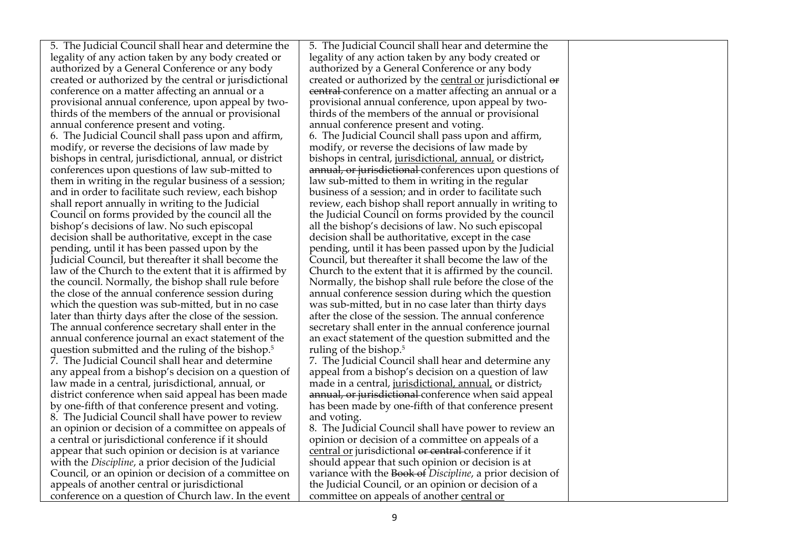5. The Judicial Council shall hear and determine the legality of any action taken by any body created or authorized by a General Conference or any body created or authorized by the central or jurisdictional conference on a matter affecting an annual or a provisional annual conference, upon appeal by twothirds of the members of the annual or provisional annual conference present and voting. 6. The Judicial Council shall pass upon and affirm, modify, or reverse the decisions of law made by bishops in central, jurisdictional, annual, or district conferences upon questions of law sub-mitted to them in writing in the regular business of a session; and in order to facilitate such review, each bishop shall report annually in writing to the Judicial Council on forms provided by the council all the bishop's decisions of law. No such episcopal decision shall be authoritative, except in the case pending, until it has been passed upon by the Judicial Council, but thereafter it shall become the law of the Church to the extent that it is affirmed by the council. Normally, the bishop shall rule before the close of the annual conference session during which the question was sub-mitted, but in no case later than thirty days after the close of the session. The annual conference secretary shall enter in the annual conference journal an exact statement of the question submitted and the ruling of the bishop.<sup>5</sup> 7. The Judicial Council shall hear and determine any appeal from a bishop's decision on a question of law made in a central, jurisdictional, annual, or district conference when said appeal has been made by one-fifth of that conference present and voting. 8. The Judicial Council shall have power to review an opinion or decision of a committee on appeals of a central or jurisdictional conference if it should appear that such opinion or decision is at variance with the *Discipline*, a prior decision of the Judicial Council, or an opinion or decision of a committee on appeals of another central or jurisdictional conference on a question of Church law. In the event 5. The Judicial Council shall hear and determine the legality of any action taken by any body created or authorized by a General Conference or any body created or authorized by the central or jurisdictional or central conference on a matter affecting an annual or a provisional annual conference, upon appeal by twothirds of the members of the annual or provisional annual conference present and voting. 6. The Judicial Council shall pass upon and affirm, modify, or reverse the decisions of law made by bishops in central, jurisdictional, annual, or district, annual, or jurisdictional conferences upon questions of law sub-mitted to them in writing in the regular business of a session; and in order to facilitate such review, each bishop shall report annually in writing to the Judicial Council on forms provided by the council all the bishop's decisions of law. No such episcopal decision shall be authoritative, except in the case pending, until it has been passed upon by the Judicial Council, but thereafter it shall become the law of the Church to the extent that it is affirmed by the council. Normally, the bishop shall rule before the close of the annual conference session during which the question was sub-mitted, but in no case later than thirty days after the close of the session. The annual conference secretary shall enter in the annual conference journal an exact statement of the question submitted and the ruling of the bishop.<sup>5</sup> 7. The Judicial Council shall hear and determine any

appeal from a bishop's decision on a question of law made in a central, jurisdictional, annual, or district, annual, or jurisdictional conference when said appeal has been made by one-fifth of that conference present and voting.

8. The Judicial Council shall have power to review an opinion or decision of a committee on appeals of a central or jurisdictional or central conference if it should appear that such opinion or decision is at variance with the Book of *Discipline*, a prior decision of the Judicial Council, or an opinion or decision of a committee on appeals of another central or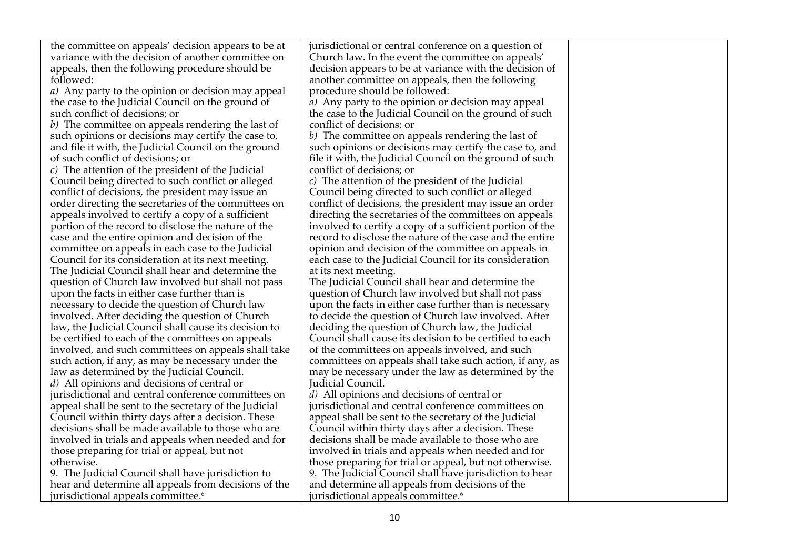| the committee on appeals' decision appears to be at   | jurisdictional or central conference on a question of     |  |
|-------------------------------------------------------|-----------------------------------------------------------|--|
| variance with the decision of another committee on    | Church law. In the event the committee on appeals'        |  |
| appeals, then the following procedure should be       | decision appears to be at variance with the decision of   |  |
| followed:                                             | another committee on appeals, then the following          |  |
| a) Any party to the opinion or decision may appeal    | procedure should be followed:                             |  |
| the case to the Judicial Council on the ground of     | a) Any party to the opinion or decision may appeal        |  |
| such conflict of decisions; or                        | the case to the Judicial Council on the ground of such    |  |
| b) The committee on appeals rendering the last of     | conflict of decisions; or                                 |  |
| such opinions or decisions may certify the case to,   | b) The committee on appeals rendering the last of         |  |
| and file it with, the Judicial Council on the ground  | such opinions or decisions may certify the case to, and   |  |
| of such conflict of decisions; or                     | file it with, the Judicial Council on the ground of such  |  |
| $c$ ) The attention of the president of the Judicial  | conflict of decisions; or                                 |  |
| Council being directed to such conflict or alleged    | $c)$ The attention of the president of the Judicial       |  |
| conflict of decisions, the president may issue an     | Council being directed to such conflict or alleged        |  |
| order directing the secretaries of the committees on  | conflict of decisions, the president may issue an order   |  |
| appeals involved to certify a copy of a sufficient    | directing the secretaries of the committees on appeals    |  |
| portion of the record to disclose the nature of the   | involved to certify a copy of a sufficient portion of the |  |
| case and the entire opinion and decision of the       | record to disclose the nature of the case and the entire  |  |
| committee on appeals in each case to the Judicial     | opinion and decision of the committee on appeals in       |  |
| Council for its consideration at its next meeting.    | each case to the Judicial Council for its consideration   |  |
| The Judicial Council shall hear and determine the     | at its next meeting.                                      |  |
| question of Church law involved but shall not pass    | The Judicial Council shall hear and determine the         |  |
| upon the facts in either case further than is         | question of Church law involved but shall not pass        |  |
| necessary to decide the question of Church law        | upon the facts in either case further than is necessary   |  |
| involved. After deciding the question of Church       | to decide the question of Church law involved. After      |  |
| law, the Judicial Council shall cause its decision to | deciding the question of Church law, the Judicial         |  |
| be certified to each of the committees on appeals     | Council shall cause its decision to be certified to each  |  |
| involved, and such committees on appeals shall take   | of the committees on appeals involved, and such           |  |
| such action, if any, as may be necessary under the    | committees on appeals shall take such action, if any, as  |  |
| law as determined by the Judicial Council.            | may be necessary under the law as determined by the       |  |
| d) All opinions and decisions of central or           | Judicial Council.                                         |  |
| jurisdictional and central conference committees on   | d) All opinions and decisions of central or               |  |
| appeal shall be sent to the secretary of the Judicial | jurisdictional and central conference committees on       |  |
| Council within thirty days after a decision. These    | appeal shall be sent to the secretary of the Judicial     |  |
| decisions shall be made available to those who are    | Council within thirty days after a decision. These        |  |
| involved in trials and appeals when needed and for    | decisions shall be made available to those who are        |  |
| those preparing for trial or appeal, but not          | involved in trials and appeals when needed and for        |  |
| otherwise.                                            | those preparing for trial or appeal, but not otherwise.   |  |
| 9. The Judicial Council shall have jurisdiction to    | 9. The Judicial Council shall have jurisdiction to hear   |  |
| hear and determine all appeals from decisions of the  | and determine all appeals from decisions of the           |  |
| jurisdictional appeals committee. <sup>6</sup>        | jurisdictional appeals committee. <sup>6</sup>            |  |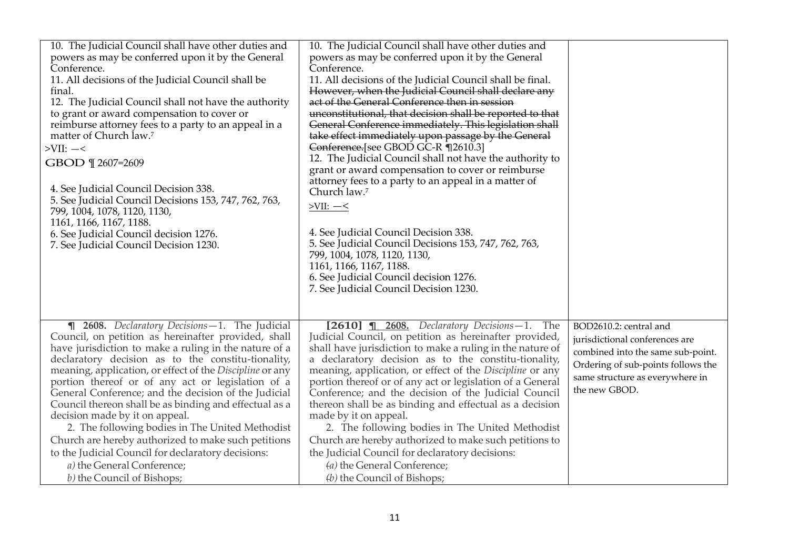| 10. The Judicial Council shall have other duties and<br>powers as may be conferred upon it by the General<br>Conference.<br>11. All decisions of the Judicial Council shall be<br>final.<br>12. The Judicial Council shall not have the authority<br>to grant or award compensation to cover or<br>reimburse attorney fees to a party to an appeal in a<br>matter of Church law. <sup>7</sup><br>$>VII: -<$<br>GBOD ¶ 2607=2609<br>4. See Judicial Council Decision 338.<br>5. See Judicial Council Decisions 153, 747, 762, 763,<br>799, 1004, 1078, 1120, 1130,<br>1161, 1166, 1167, 1188.<br>6. See Judicial Council decision 1276.<br>7. See Judicial Council Decision 1230.                                                                  | 10. The Judicial Council shall have other duties and<br>powers as may be conferred upon it by the General<br>Conference.<br>11. All decisions of the Judicial Council shall be final.<br>However, when the Judicial Council shall declare any<br>act of the General Conference then in session<br>unconstitutional, that decision shall be reported to that<br>General Conference immediately. This legislation shall<br>take effect immediately upon passage by the General<br>Conference. [see GBOD GC-R ¶2610.3]<br>12. The Judicial Council shall not have the authority to<br>grant or award compensation to cover or reimburse<br>attorney fees to a party to an appeal in a matter of<br>Church law. <sup>7</sup><br>$>$ VII: $-$<br>4. See Judicial Council Decision 338.<br>5. See Judicial Council Decisions 153, 747, 762, 763,<br>799, 1004, 1078, 1120, 1130,<br>1161, 1166, 1167, 1188.<br>6. See Judicial Council decision 1276.<br>7. See Judicial Council Decision 1230. |                                                                                                                                                                                         |
|---------------------------------------------------------------------------------------------------------------------------------------------------------------------------------------------------------------------------------------------------------------------------------------------------------------------------------------------------------------------------------------------------------------------------------------------------------------------------------------------------------------------------------------------------------------------------------------------------------------------------------------------------------------------------------------------------------------------------------------------------|-------------------------------------------------------------------------------------------------------------------------------------------------------------------------------------------------------------------------------------------------------------------------------------------------------------------------------------------------------------------------------------------------------------------------------------------------------------------------------------------------------------------------------------------------------------------------------------------------------------------------------------------------------------------------------------------------------------------------------------------------------------------------------------------------------------------------------------------------------------------------------------------------------------------------------------------------------------------------------------------|-----------------------------------------------------------------------------------------------------------------------------------------------------------------------------------------|
| <b><math>\P</math></b> 2608. Declaratory Decisions -1. The Judicial<br>Council, on petition as hereinafter provided, shall<br>have jurisdiction to make a ruling in the nature of a<br>declaratory decision as to the constitu-tionality,<br>meaning, application, or effect of the <i>Discipline</i> or any<br>portion thereof or of any act or legislation of a<br>General Conference; and the decision of the Judicial<br>Council thereon shall be as binding and effectual as a<br>decision made by it on appeal.<br>2. The following bodies in The United Methodist<br>Church are hereby authorized to make such petitions<br>to the Judicial Council for declaratory decisions:<br>a) the General Conference;<br>b) the Council of Bishops; | [2610] $\mathbb{q}$ 2608. Declaratory Decisions-1. The<br>Judicial Council, on petition as hereinafter provided,<br>shall have jurisdiction to make a ruling in the nature of<br>a declaratory decision as to the constitu-tionality,<br>meaning, application, or effect of the Discipline or any<br>portion thereof or of any act or legislation of a General<br>Conference; and the decision of the Judicial Council<br>thereon shall be as binding and effectual as a decision<br>made by it on appeal.<br>2. The following bodies in The United Methodist<br>Church are hereby authorized to make such petitions to<br>the Judicial Council for declaratory decisions:<br>(a) the General Conference;<br>(b) the Council of Bishops;                                                                                                                                                                                                                                                  | BOD2610.2: central and<br>jurisdictional conferences are<br>combined into the same sub-point.<br>Ordering of sub-points follows the<br>same structure as everywhere in<br>the new GBOD. |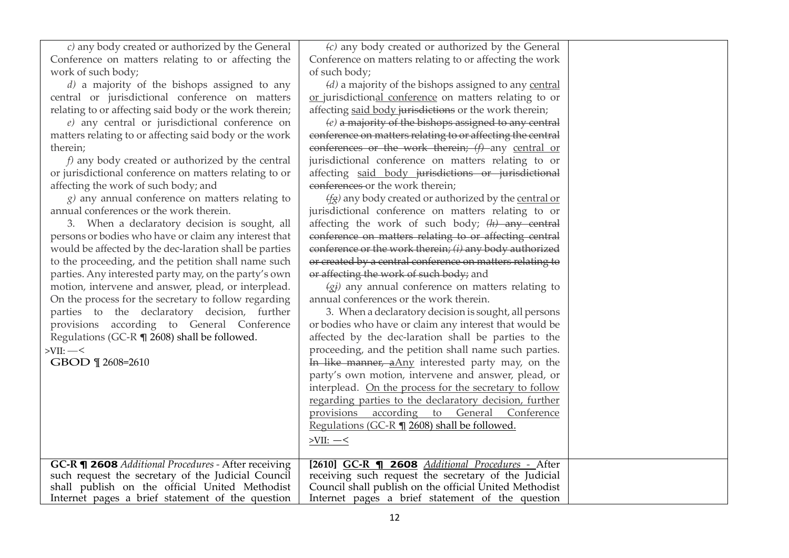*c)* any body created or authorized by the General Conference on matters relating to or affecting the work of such body;

*d)* a majority of the bishops assigned to any central or jurisdictional conference on matters relating to or affecting said body or the work therein;

*e)* any central or jurisdictional conference on matters relating to or affecting said body or the work therein;

*f*) any body created or authorized by the central or jurisdictional conference on matters relating to or affecting the work of such body; and

*g)* any annual conference on matters relating to annual conferences or the work therein.

3. When a declaratory decision is sought, all persons or bodies who have or claim any interest that would be affected by the dec-laration shall be parties to the proceeding, and the petition shall name such parties. Any interested party may, on the party's own motion, intervene and answer, plead, or interplead. On the process for the secretary to follow regarding parties to the declaratory decision, further provisions according to General Conference Regulations (GC-R ¶ 2608) shall be followed.

>VII: *—<*

GBOD ¶ 2608=2610

*(c)* any body created or authorized by the General Conference on matters relating to or affecting the work of such body;

*(d)* a majority of the bishops assigned to any central or jurisdictional conference on matters relating to or affecting said body jurisdictions or the work therein;

*(e)* a majority of the bishops assigned to any central conference on matters relating to or affecting the central conferences or the work therein; (f) any central or jurisdictional conference on matters relating to or affecting said body jurisdictions or jurisdictional conferences or the work therein;

*(fg)* any body created or authorized by the central or jurisdictional conference on matters relating to or affecting the work of such body; *(h)* any central conference on matters relating to or affecting central conference or the work therein; *(i)* any body authorized or created by a central conference on matters relating to or affecting the work of such body; and

*(gj)* any annual conference on matters relating to annual conferences or the work therein.

3. When a declaratory decision is sought, all persons or bodies who have or claim any interest that would be affected by the dec-laration shall be parties to the proceeding, and the petition shall name such parties. In like manner, aAny interested party may, on the party's own motion, intervene and answer, plead, or interplead. On the process for the secretary to follow regarding parties to the declaratory decision, further provisions according to General Conference Regulations (GC-R ¶ 2608) shall be followed. >VII: *—<*

| <b>GC-R ¶ 2608</b> Additional Procedures - After receiving | [2610] $GC-R$   2608 Additional Procedures - After     |  |
|------------------------------------------------------------|--------------------------------------------------------|--|
| such request the secretary of the Judicial Council         | receiving such request the secretary of the Judicial   |  |
| shall publish on the official United Methodist             | Council shall publish on the official United Methodist |  |
| Internet pages a brief statement of the question           | Internet pages a brief statement of the question       |  |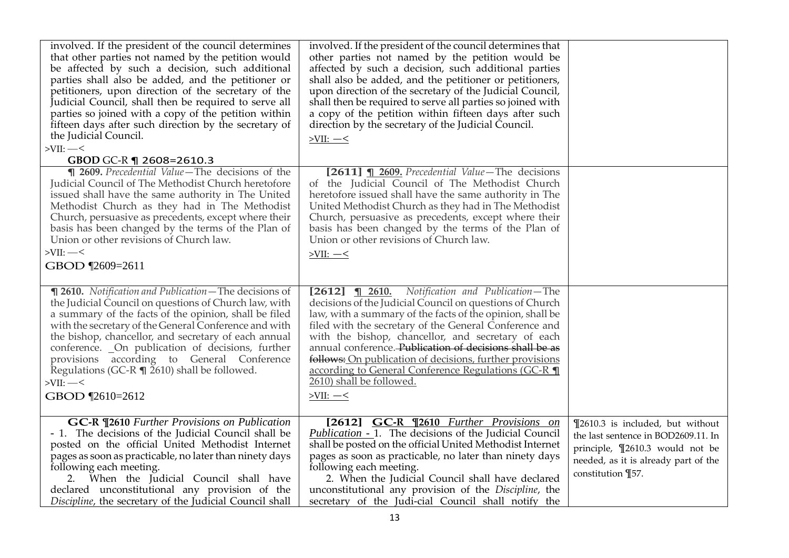| involved. If the president of the council determines<br>that other parties not named by the petition would<br>be affected by such a decision, such additional<br>parties shall also be added, and the petitioner or<br>petitioners, upon direction of the secretary of the<br>Judicial Council, shall then be required to serve all<br>parties so joined with a copy of the petition within<br>fifteen days after such direction by the secretary of<br>the Judicial Council.<br>$>$ VII: $-$ <<br>GBOD GC-R ¶ 2608=2610.3 | involved. If the president of the council determines that<br>other parties not named by the petition would be<br>affected by such a decision, such additional parties<br>shall also be added, and the petitioner or petitioners,<br>upon direction of the secretary of the Judicial Council,<br>shall then be required to serve all parties so joined with<br>a copy of the petition within fifteen days after such<br>direction by the secretary of the Judicial Council.<br>$>$ VII: $-$                                      |                                                                                                                                                                          |
|----------------------------------------------------------------------------------------------------------------------------------------------------------------------------------------------------------------------------------------------------------------------------------------------------------------------------------------------------------------------------------------------------------------------------------------------------------------------------------------------------------------------------|---------------------------------------------------------------------------------------------------------------------------------------------------------------------------------------------------------------------------------------------------------------------------------------------------------------------------------------------------------------------------------------------------------------------------------------------------------------------------------------------------------------------------------|--------------------------------------------------------------------------------------------------------------------------------------------------------------------------|
| <b>1</b> 2609. Precedential Value-The decisions of the<br>Judicial Council of The Methodist Church heretofore<br>issued shall have the same authority in The United<br>Methodist Church as they had in The Methodist<br>Church, persuasive as precedents, except where their<br>basis has been changed by the terms of the Plan of<br>Union or other revisions of Church law.<br>$>$ VII: $-$ <<br>GBOD 12609=2611                                                                                                         | [2611] <b>[2609</b> , Precedential Value–The decisions<br>of the Judicial Council of The Methodist Church<br>heretofore issued shall have the same authority in The<br>United Methodist Church as they had in The Methodist<br>Church, persuasive as precedents, except where their<br>basis has been changed by the terms of the Plan of<br>Union or other revisions of Church law.<br>$>VII: -<$                                                                                                                              |                                                                                                                                                                          |
| ¶ 2610. Notification and Publication - The decisions of<br>the Judicial Council on questions of Church law, with<br>a summary of the facts of the opinion, shall be filed<br>with the secretary of the General Conference and with<br>the bishop, chancellor, and secretary of each annual<br>conference. _On publication of decisions, further<br>provisions according to General Conference<br>Regulations (GC-R $\P$ 2610) shall be followed.<br>$>$ VII: $-$ <<br>GBOD 12610=2612                                      | [2612] <b>[2610.</b> Notification and Publication-The<br>decisions of the Judicial Council on questions of Church<br>law, with a summary of the facts of the opinion, shall be<br>filed with the secretary of the General Conference and<br>with the bishop, chancellor, and secretary of each<br>annual conference. Publication of decisions shall be as<br><b>follows:</b> On publication of decisions, further provisions<br>according to General Conference Regulations (GC-R ¶<br>2610) shall be followed.<br>$>$ VII: $-$ |                                                                                                                                                                          |
| <b>GC-R</b> 12610 Further Provisions on Publication<br>- 1. The decisions of the Judicial Council shall be<br>posted on the official United Methodist Internet<br>pages as soon as practicable, no later than ninety days<br>following each meeting.<br>2. When the Judicial Council shall have<br>declared unconstitutional any provision of the<br>Discipline, the secretary of the Judicial Council shall                                                                                                               | [2612] GC-R ¶2610 Further Provisions on<br><i>Publication - 1.</i> The decisions of the Judicial Council<br>shall be posted on the official United Methodist Internet<br>pages as soon as practicable, no later than ninety days<br>following each meeting.<br>2. When the Judicial Council shall have declared<br>unconstitutional any provision of the Discipline, the<br>secretary of the Judi-cial Council shall notify the                                                                                                 | 12610.3 is included, but without<br>the last sentence in BOD2609.11. In<br>principle, 12610.3 would not be<br>needed, as it is already part of the<br>constitution \[57. |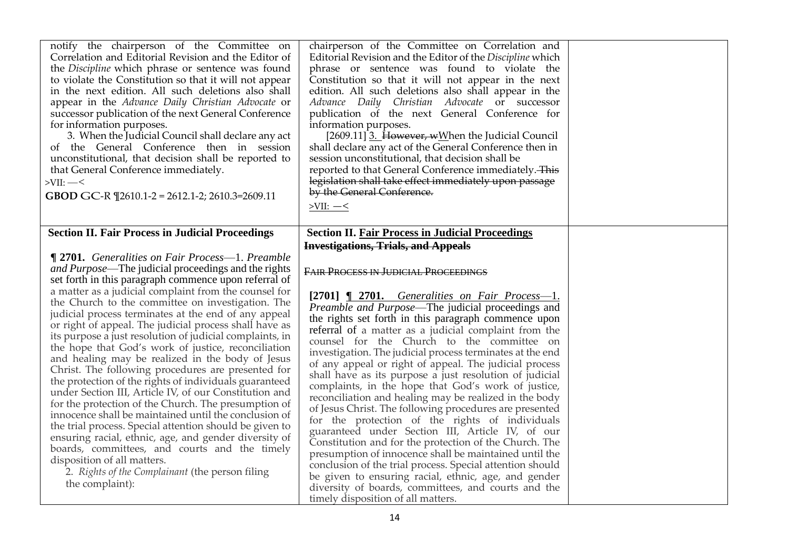| notify the chairperson of the Committee on<br>Correlation and Editorial Revision and the Editor of<br>the <i>Discipline</i> which phrase or sentence was found<br>to violate the Constitution so that it will not appear<br>in the next edition. All such deletions also shall<br>appear in the Advance Daily Christian Advocate or<br>successor publication of the next General Conference<br>for information purposes.<br>3. When the Judicial Council shall declare any act<br>of the General Conference then in session<br>unconstitutional, that decision shall be reported to<br>that General Conference immediately.<br>$>$ VII: $-$ <<br>GBOD GC-R $\P$ 2610.1-2 = 2612.1-2; 2610.3=2609.11                                                                                                                                                                                                                                                                                                                                                                                                                                                 | chairperson of the Committee on Correlation and<br>Editorial Revision and the Editor of the Discipline which<br>phrase or sentence was found to violate the<br>Constitution so that it will not appear in the next<br>edition. All such deletions also shall appear in the<br>Advance Daily Christian Advocate or successor<br>publication of the next General Conference for<br>information purposes.<br>[2609.11] 3. However, wWhen the Judicial Council<br>shall declare any act of the General Conference then in<br>session unconstitutional, that decision shall be<br>reported to that General Conference immediately. This<br>legislation shall take effect immediately upon passage<br>by the General Conference.<br>$>VII: -<$                                                                                                                                                                                                                                                                                                                                                                                                                                                     |  |
|-----------------------------------------------------------------------------------------------------------------------------------------------------------------------------------------------------------------------------------------------------------------------------------------------------------------------------------------------------------------------------------------------------------------------------------------------------------------------------------------------------------------------------------------------------------------------------------------------------------------------------------------------------------------------------------------------------------------------------------------------------------------------------------------------------------------------------------------------------------------------------------------------------------------------------------------------------------------------------------------------------------------------------------------------------------------------------------------------------------------------------------------------------|----------------------------------------------------------------------------------------------------------------------------------------------------------------------------------------------------------------------------------------------------------------------------------------------------------------------------------------------------------------------------------------------------------------------------------------------------------------------------------------------------------------------------------------------------------------------------------------------------------------------------------------------------------------------------------------------------------------------------------------------------------------------------------------------------------------------------------------------------------------------------------------------------------------------------------------------------------------------------------------------------------------------------------------------------------------------------------------------------------------------------------------------------------------------------------------------|--|
| <b>Section II. Fair Process in Judicial Proceedings</b>                                                                                                                                                                                                                                                                                                                                                                                                                                                                                                                                                                                                                                                                                                                                                                                                                                                                                                                                                                                                                                                                                             | <b>Section II. Fair Process in Judicial Proceedings</b>                                                                                                                                                                                                                                                                                                                                                                                                                                                                                                                                                                                                                                                                                                                                                                                                                                                                                                                                                                                                                                                                                                                                      |  |
| <b>1 2701.</b> Generalities on Fair Process—1. Preamble<br>and Purpose—The judicial proceedings and the rights<br>set forth in this paragraph commence upon referral of<br>a matter as a judicial complaint from the counsel for<br>the Church to the committee on investigation. The<br>judicial process terminates at the end of any appeal<br>or right of appeal. The judicial process shall have as<br>its purpose a just resolution of judicial complaints, in<br>the hope that God's work of justice, reconciliation<br>and healing may be realized in the body of Jesus<br>Christ. The following procedures are presented for<br>the protection of the rights of individuals guaranteed<br>under Section III, Article IV, of our Constitution and<br>for the protection of the Church. The presumption of<br>innocence shall be maintained until the conclusion of<br>the trial process. Special attention should be given to<br>ensuring racial, ethnic, age, and gender diversity of<br>boards, committees, and courts and the timely<br>disposition of all matters.<br>2. Rights of the Complainant (the person filing<br>the complaint): | <b>Investigations, Trials, and Appeals</b><br><b>FAIR PROCESS IN JUDICIAL PROCEEDINGS</b><br>$[2701] \n\textcircled{1}$ 2701. Generalities on Fair Process—1.<br>Preamble and Purpose—The judicial proceedings and<br>the rights set forth in this paragraph commence upon<br>referral of a matter as a judicial complaint from the<br>counsel for the Church to the committee on<br>investigation. The judicial process terminates at the end<br>of any appeal or right of appeal. The judicial process<br>shall have as its purpose a just resolution of judicial<br>complaints, in the hope that God's work of justice,<br>reconciliation and healing may be realized in the body<br>of Jesus Christ. The following procedures are presented<br>for the protection of the rights of individuals<br>guaranteed under Section III, Article IV, of our<br>Constitution and for the protection of the Church. The<br>presumption of innocence shall be maintained until the<br>conclusion of the trial process. Special attention should<br>be given to ensuring racial, ethnic, age, and gender<br>diversity of boards, committees, and courts and the<br>timely disposition of all matters. |  |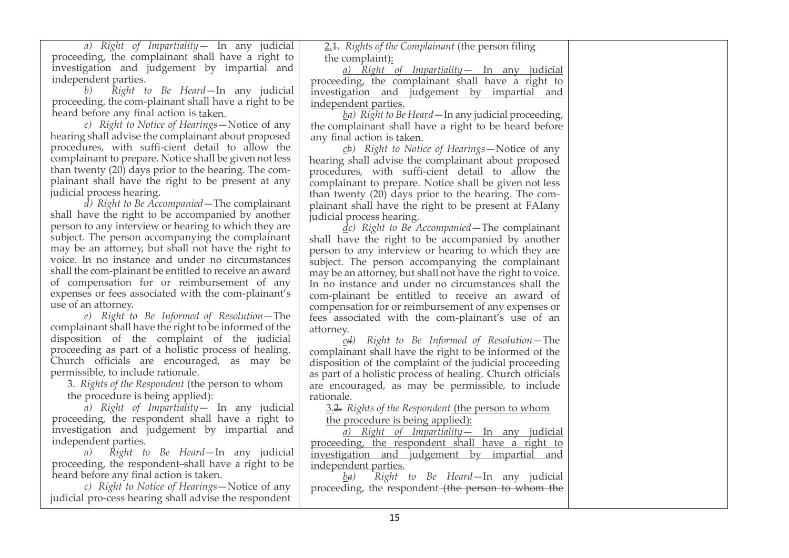*a) Right of Impartiality*— In any judicial proceeding, the complainant shall have a right to investigation and judgement by impartial and independent parties.

*b) Right to Be Heard*—In any judicial proceeding, the com-plainant shall have a right to be heard before any final action is taken.

*c) Right to Notice of Hearings*—Notice of any hearing shall advise the complainant about proposed procedures, with suffi-cient detail to allow the complainant to prepare. Notice shall be given not less than twenty (20) days prior to the hearing. The complainant shall have the right to be present at any judicial process hearing.

*d) Right to Be Accompanied*—The complainant shall have the right to be accompanied by another person to any interview or hearing to which they are subject. The person accompanying the complainant may be an attorney, but shall not have the right to voice. In no instance and under no circumstances shall the com-plainant be entitled to receive an award of compensation for or reimbursement of any expenses or fees associated with the com-plainant's use of an attorney.

*e) Right to Be Informed of Resolution*—The complainant shall have the right to be informed of the disposition of the complaint of the judicial proceeding as part of a holistic process of healing. Church officials are encouraged, as may be permissible, to include rationale.

3. *Rights of the Respondent* (the person to whom the procedure is being applied):

*a) Right of Impartiality*— In any judicial proceeding, the respondent shall have a right to investigation and judgement by impartial and independent parties.

*a) Right to Be Heard*—In any judicial proceeding, the respondent shall have a right to be heard before any final action is taken.

*c) Right to Notice of Hearings*—Notice of any judicial pro-cess hearing shall advise the respondent

2.1. *Rights of the Complainant* (the person filing the complaint):

*a) Right of Impartiality*— In any judicial proceeding, the complainant shall have a right to investigation and judgement by impartial and independent parties.

*ba) Right to Be Heard*—In any judicial proceeding, the complainant shall have a right to be heard before any final action is taken.

*cb) Right to Notice of Hearings*—Notice of any hearing shall advise the complainant about proposed procedures, with suffi-cient detail to allow the complainant to prepare. Notice shall be given not less than twenty (20) days prior to the hearing. The complainant shall have the right to be present at FAIany judicial process hearing.

*dc) Right to Be Accompanied*—The complainant shall have the right to be accompanied by another person to any interview or hearing to which they are subject. The person accompanying the complainant may be an attorney, but shall not have the right to voice. In no instance and under no circumstances shall the com-plainant be entitled to receive an award of compensation for or reimbursement of any expenses or fees associated with the com-plainant's use of an attorney.

*ed) Right to Be Informed of Resolution*—The complainant shall have the right to be informed of the disposition of the complaint of the judicial proceeding as part of a holistic process of healing. Church officials are encouraged, as may be permissible, to include rationale.

3.2. *Rights of the Respondent* (the person to whom the procedure is being applied):

*a) Right of Impartiality*— In any judicial proceeding, the respondent shall have a right to investigation and judgement by impartial and independent parties.

*ba) Right to Be Heard*—In any judicial proceeding, the respondent (the person to whom the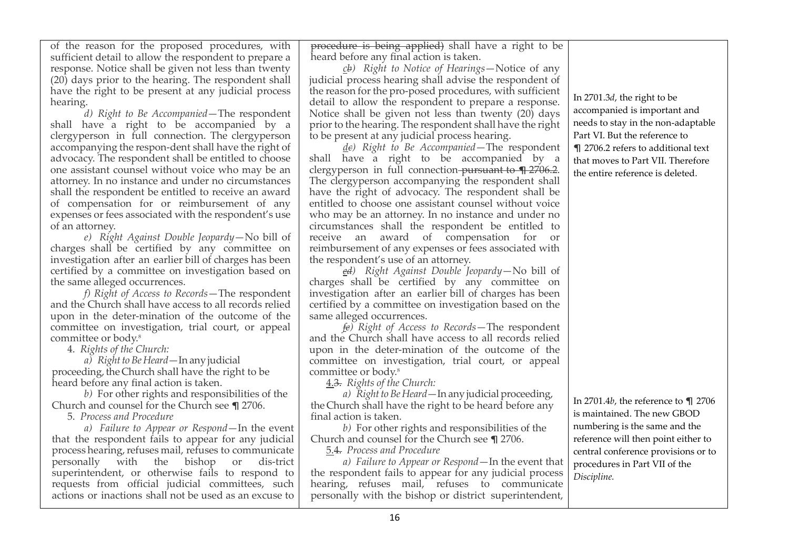of the reason for the proposed procedures, with sufficient detail to allow the respondent to prepare a response. Notice shall be given not less than twenty (20) days prior to the hearing. The respondent shall have the right to be present at any judicial process hearing.

*d) Right to Be Accompanied*—The respondent shall have a right to be accompanied by a clergyperson in full connection. The clergyperson accompanying the respon-dent shall have the right of advocacy. The respondent shall be entitled to choose one assistant counsel without voice who may be an attorney. In no instance and under no circumstances shall the respondent be entitled to receive an award of compensation for or reimbursement of any expenses or fees associated with the respondent's use of an attorney.

*e) Right Against Double Jeopardy*—No bill of charges shall be certified by any committee on investigation after an earlier bill of charges has been certified by a committee on investigation based on the same alleged occurrences.

*f) Right of Access to Records*—The respondent and the Church shall have access to all records relied upon in the deter-mination of the outcome of the committee on investigation, trial court, or appeal committee or body. 8

4. *Rights of the Church:*

*a*) Right to Be Heard — In any judicial proceeding, the Church shall have the right to be heard before any final action is taken.

*b)* For other rights and responsibilities of the Church and counsel for the Church see ¶ 2706.

5. *Process and Procedure*

*a) Failure to Appear or Respond*—In the event that the respondent fails to appear for any judicial process hearing, refuses mail, refuses to communicate personally with the bishop or dis-trict superintendent, or otherwise fails to respond to requests from official judicial committees, such actions or inactions shall not be used as an excuse to

procedure is being applied) shall have a right to be heard before any final action is taken.

*cb) Right to Notice of Hearings*—Notice of any judicial process hearing shall advise the respondent of the reason forthe pro-posed procedures, with sufficient detail to allow the respondent to prepare a response. Notice shall be given not less than twenty (20) days priorto the hearing. The respondent shall have the right to be present at any judicial process hearing.

*dc) Right to Be Accompanied*—The respondent shall have a right to be accompanied by a clergyperson in full connection pursuant to  $\sqrt{2706.2}$ . The clergyperson accompanying the respondent shall have the right of advocacy. The respondent shall be entitled to choose one assistant counsel without voice who may be an attorney. In no instance and under no circumstances shall the respondent be entitled to receive an award of compensation for or reimbursement of any expenses or fees associated with the respondent's use of an attorney.

*ed) Right Against Double Jeopardy*—No bill of charges shall be certified by any committee on investigation after an earlier bill of charges has been certified by a committee on investigation based on the same alleged occurrences.

*fe) Right of Access to Records*—The respondent and the Church shall have access to all records relied upon in the deter-mination of the outcome of the committee on investigation, trial court, or appeal committee or body. 8

4.3. *Rights of the Church:*

*a) Right to Be Heard* — In any judicial proceeding, the Church shall have the right to be heard before any final action is taken.

*b)* For other rights and responsibilities of the Church and counsel for the Church see ¶ 2706.

5.4. *Process and Procedure*

*a) Failure to Appear or Respond*—In the event that the respondent fails to appear for any judicial process hearing, refuses mail, refuses to communicate personally with the bishop or district superintendent, In 2701.3*d*, the right to be accompanied is important and needs to stay in the non-adaptable Part VI. But the reference to ¶ 2706.2 refers to additional text that moves to Part VII. Therefore the entire reference is deleted.

In 2701.4*b*, the reference to ¶ <sup>2706</sup> is maintained. The new GBOD numbering is the same and the reference will then point either to central conference provisions or to procedures in Part VII of the *Discipline.*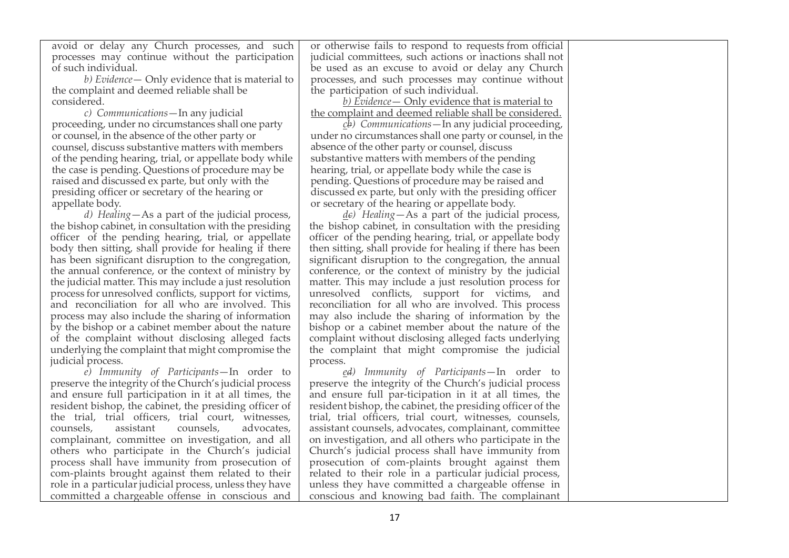avoid or delay any Church processes, and such processes may continue without the participation of such individual.

*b) Evidence*— Only evidence that is material to the complaint and deemed reliable shall be considered.

*c) Communications*—In any judicial proceeding, under no circumstances shall one party or counsel, in the absence of the other party or counsel, discuss substantive matters with members of the pending hearing, trial, or appellate body while the case is pending. Questions of procedure may be raised and discussed ex parte, but only with the presiding officer or secretary of the hearing or appellate body.

*d) Healing*—As a part of the judicial process, the bishop cabinet, in consultation with the presiding officer of the pending hearing, trial, or appellate body then sitting, shall provide for healing if there has been significant disruption to the congregation, the annual conference, or the context of ministry by the judicial matter. This may include a just resolution process for unresolved conflicts, support for victims, and reconciliation for all who are involved. This process may also include the sharing of information by the bishop or a cabinet member about the nature of the complaint without disclosing alleged facts underlying the complaint that might compromise the judicial process.

*e) Immunity of Participants*—In order to preserve the integrity of the Church's judicial process and ensure full participation in it at all times, the resident bishop, the cabinet, the presiding officer of the trial, trial officers, trial court, witnesses, counsels, assistant counsels, advocates, complainant, committee on investigation, and all others who participate in the Church's judicial process shall have immunity from prosecution of com-plaints brought against them related to their role in a particular judicial process, unless they have committed a chargeable offense in conscious and

or otherwise fails to respond to requests from official judicial committees, such actions or inactions shall not be used as an excuse to avoid or delay any Church processes, and such processes may continue without the participation of such individual.

*b) Evidence*— Only evidence that is material to the complaint and deemed reliable shall be considered.

*cb) Communications*—In any judicial proceeding, under no circumstances shall one party or counsel, in the absence of the other party or counsel, discuss substantive matters with members of the pending hearing, trial, or appellate body while the case is pending. Questions of procedure may be raised and discussed ex parte, but only with the presiding officer or secretary of the hearing or appellate body.

*dc) Healing*—As a part of the judicial process, the bishop cabinet, in consultation with the presiding officer of the pending hearing, trial, or appellate body then sitting, shall provide for healing if there has been significant disruption to the congregation, the annual conference, or the context of ministry by the judicial matter. This may include a just resolution process for unresolved conflicts, support for victims, and reconciliation for all who are involved. This process may also include the sharing of information by the bishop or a cabinet member about the nature of the complaint without disclosing alleged facts underlying the complaint that might compromise the judicial process.

*ed) Immunity of Participants*—In order to preserve the integrity of the Church's judicial process and ensure full par-ticipation in it at all times, the resident bishop, the cabinet, the presiding officer of the trial, trial officers, trial court, witnesses, counsels, assistant counsels, advocates, complainant, committee on investigation, and all others who participate in the Church's judicial process shall have immunity from prosecution of com-plaints brought against them related to their role in a particular judicial process, unless they have committed a chargeable offense in conscious and knowing bad faith. The complainant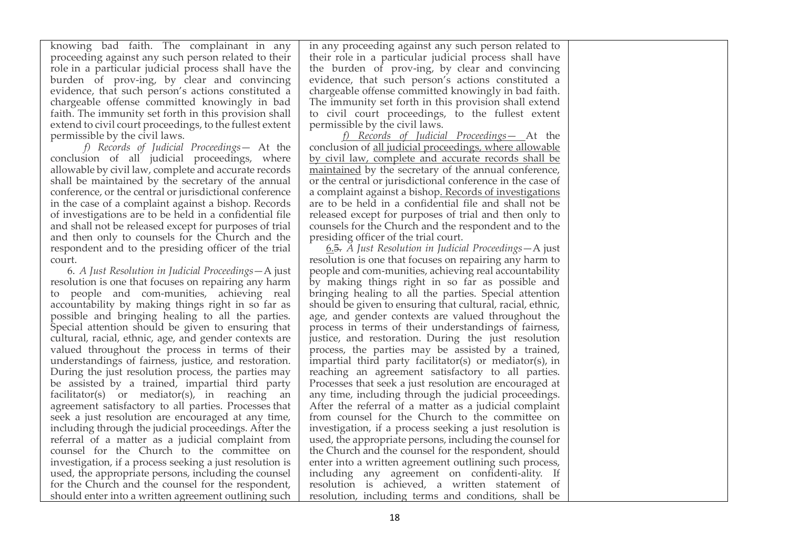knowing bad faith. The complainant in any proceeding against any such person related to their role in a particular judicial process shall have the burden of prov-ing, by clear and convincing evidence, that such person's actions constituted a chargeable offense committed knowingly in bad faith. The immunity set forth in this provision shall extend to civil court proceedings, to the fullest extent permissible by the civil laws.

*f) Records of Judicial Proceedings*— At the conclusion of all judicial proceedings, where allowable by civil law, complete and accurate records shall be maintained by the secretary of the annual conference, or the central or jurisdictional conference in the case of a complaint against a bishop. Records of investigations are to be held in a confidential file and shall not be released except for purposes of trial and then only to counsels for the Church and the respondent and to the presiding officer of the trial court.

6. *A Just Resolution in Judicial Proceedings*—A just resolution is one that focuses on repairing any harm to people and com-munities, achieving real accountability by making things right in so far as possible and bringing healing to all the parties. Special attention should be given to ensuring that cultural, racial, ethnic, age, and gender contexts are valued throughout the process in terms of their understandings of fairness, justice, and restoration. During the just resolution process, the parties may be assisted by a trained, impartial third party facilitator(s) or mediator(s), in reaching an agreement satisfactory to all parties. Processes that seek a just resolution are encouraged at any time, including through the judicial proceedings. After the referral of a matter as a judicial complaint from counsel for the Church to the committee on investigation, if a process seeking a just resolution is used, the appropriate persons, including the counsel for the Church and the counsel for the respondent, should enter into a written agreement outlining such

in any proceeding against any such person related to their role in a particular judicial process shall have the burden of prov-ing, by clear and convincing evidence, that such person's actions constituted a chargeable offense committed knowingly in bad faith. The immunity set forth in this provision shall extend to civil court proceedings, to the fullest extent permissible by the civil laws.

*f) Records of Judicial Proceedings*— At the conclusion of all judicial proceedings, where allowable by civil law, complete and accurate records shall be maintained by the secretary of the annual conference, or the central or jurisdictional conference in the case of a complaint against a bishop. Records of investigations are to be held in a confidential file and shall not be released except for purposes of trial and then only to counsels for the Church and the respondent and to the presiding officer of the trial court.

6.5. *A Just Resolution in Judicial Proceedings*—A just resolution is one that focuses on repairing any harm to people and com-munities, achieving real accountability by making things right in so far as possible and bringing healing to all the parties. Special attention should be given to ensuring that cultural, racial, ethnic, age, and gender contexts are valued throughout the process in terms of their understandings of fairness, justice, and restoration. During the just resolution process, the parties may be assisted by a trained, impartial third party facilitator(s) or mediator(s), in reaching an agreement satisfactory to all parties. Processes that seek a just resolution are encouraged at any time, including through the judicial proceedings. After the referral of a matter as a judicial complaint from counsel for the Church to the committee on investigation, if a process seeking a just resolution is used, the appropriate persons, including the counsel for the Church and the counsel for the respondent, should enter into a written agreement outlining such process, including any agreement on confidenti-ality. If resolution is achieved, a written statement of resolution, including terms and conditions, shall be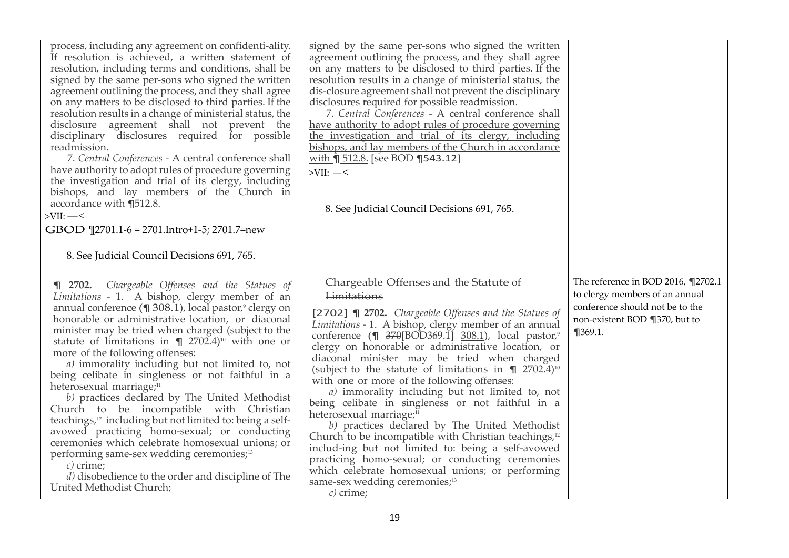| process, including any agreement on confidenti-ality.<br>If resolution is achieved, a written statement of<br>resolution, including terms and conditions, shall be<br>signed by the same per-sons who signed the written<br>agreement outlining the process, and they shall agree<br>on any matters to be disclosed to third parties. If the<br>resolution results in a change of ministerial status, the<br>disclosure agreement shall not prevent the<br>disciplinary disclosures required for possible<br>readmission.<br>7. Central Conferences - A central conference shall<br>have authority to adopt rules of procedure governing<br>the investigation and trial of its clergy, including<br>bishops, and lay members of the Church in<br>accordance with ¶512.8.<br>$>$ VII: $-$ <<br>GBOD 12701.1-6 = 2701.Intro+1-5; 2701.7=new<br>8. See Judicial Council Decisions 691, 765.                                                                                          | signed by the same per-sons who signed the written<br>agreement outlining the process, and they shall agree<br>on any matters to be disclosed to third parties. If the<br>resolution results in a change of ministerial status, the<br>dis-closure agreement shall not prevent the disciplinary<br>disclosures required for possible readmission.<br>7. Central Conferences - A central conference shall<br>have authority to adopt rules of procedure governing<br>the investigation and trial of its clergy, including<br>bishops, and lay members of the Church in accordance<br>with   512.8. [see BOD   543.12]<br>$>VII:$ $-$<br>8. See Judicial Council Decisions 691, 765.                                                                                                                                                                                                                                                                                                     |                                                                                                                                                         |
|-----------------------------------------------------------------------------------------------------------------------------------------------------------------------------------------------------------------------------------------------------------------------------------------------------------------------------------------------------------------------------------------------------------------------------------------------------------------------------------------------------------------------------------------------------------------------------------------------------------------------------------------------------------------------------------------------------------------------------------------------------------------------------------------------------------------------------------------------------------------------------------------------------------------------------------------------------------------------------------|----------------------------------------------------------------------------------------------------------------------------------------------------------------------------------------------------------------------------------------------------------------------------------------------------------------------------------------------------------------------------------------------------------------------------------------------------------------------------------------------------------------------------------------------------------------------------------------------------------------------------------------------------------------------------------------------------------------------------------------------------------------------------------------------------------------------------------------------------------------------------------------------------------------------------------------------------------------------------------------|---------------------------------------------------------------------------------------------------------------------------------------------------------|
| Chargeable Offenses and the Statues of<br>$\P$ 2702.<br>Limitations - 1. A bishop, clergy member of an<br>annual conference ( $\P$ 308.1), local pastor, $\degree$ clergy on<br>honorable or administrative location, or diaconal<br>minister may be tried when charged (subject to the<br>statute of limitations in $\P$ 2702.4) <sup>10</sup> with one or<br>more of the following offenses:<br>a) immorality including but not limited to, not<br>being celibate in singleness or not faithful in a<br>heterosexual marriage; <sup>11</sup><br>b) practices declared by The United Methodist<br>Church to be incompatible with Christian<br>teachings, <sup>12</sup> including but not limited to: being a self-<br>avowed practicing homo-sexual; or conducting<br>ceremonies which celebrate homosexual unions; or<br>performing same-sex wedding ceremonies; <sup>13</sup><br>$c)$ crime;<br>d) disobedience to the order and discipline of The<br>United Methodist Church; | Chargeable Offenses and the Statute of<br>Limitations<br>[2702] <b>[2702.</b> Chargeable Offenses and the Statues of<br><i>Limitations</i> - 1. A bishop, clergy member of an annual<br>conference $(\P$ 370[BOD369.1] 308.1), local pastor, <sup>9</sup><br>clergy on honorable or administrative location, or<br>diaconal minister may be tried when charged<br>(subject to the statute of limitations in $\P$ 2702.4) <sup>10</sup><br>with one or more of the following offenses:<br>a) immorality including but not limited to, not<br>being celibate in singleness or not faithful in a<br>heterosexual marriage; <sup>11</sup><br>b) practices declared by The United Methodist<br>Church to be incompatible with Christian teachings, <sup>12</sup><br>includ-ing but not limited to: being a self-avowed<br>practicing homo-sexual; or conducting ceremonies<br>which celebrate homosexual unions; or performing<br>same-sex wedding ceremonies; <sup>13</sup><br>$c)$ crime; | The reference in BOD 2016, ¶2702.1<br>to clergy members of an annual<br>conference should not be to the<br>non-existent BOD ¶370, but to<br>$\P$ 369.1. |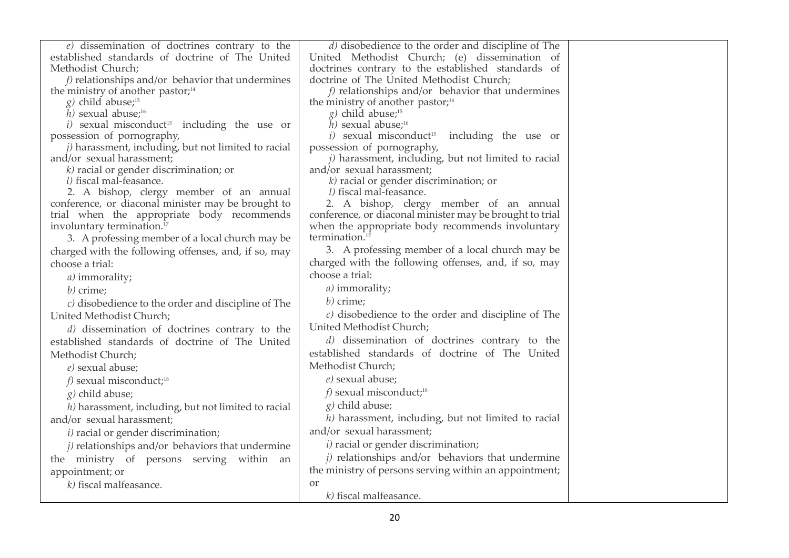| e) dissemination of doctrines contrary to the                                                 | d) disobedience to the order and discipline of The                   |  |
|-----------------------------------------------------------------------------------------------|----------------------------------------------------------------------|--|
| established standards of doctrine of The United                                               | United Methodist Church; (e) dissemination of                        |  |
| Methodist Church;                                                                             | doctrines contrary to the established standards of                   |  |
| $f$ ) relationships and/or behavior that undermines                                           | doctrine of The United Methodist Church;                             |  |
| the ministry of another pastor; $14$                                                          | $f$ ) relationships and/or behavior that undermines                  |  |
| $g$ ) child abuse; <sup>15</sup>                                                              | the ministry of another pastor; <sup>14</sup>                        |  |
| h) sexual abuse; $16$                                                                         | $g$ ) child abuse; <sup>15</sup>                                     |  |
| <i>i</i> ) sexual misconduct <sup>15</sup> including the use or                               | h) sexual abuse; $16$                                                |  |
| possession of pornography,                                                                    | $i)$ sexual misconduct <sup>15</sup><br>including the use or         |  |
| $i$ ) harassment, including, but not limited to racial                                        | possession of pornography,                                           |  |
| and/or sexual harassment;                                                                     | $i$ ) harassment, including, but not limited to racial               |  |
| $k$ ) racial or gender discrimination; or                                                     | and/or sexual harassment;                                            |  |
| l) fiscal mal-feasance.                                                                       | $k$ ) racial or gender discrimination; or<br>l) fiscal mal-feasance. |  |
| 2. A bishop, clergy member of an annual<br>conference, or diaconal minister may be brought to | 2. A bishop, clergy member of an annual                              |  |
| trial when the appropriate body recommends                                                    | conference, or diaconal minister may be brought to trial             |  |
| involuntary termination. <sup>17</sup>                                                        | when the appropriate body recommends involuntary                     |  |
| 3. A professing member of a local church may be                                               | termination. <sup>17</sup>                                           |  |
| charged with the following offenses, and, if so, may                                          | 3. A professing member of a local church may be                      |  |
| choose a trial:                                                                               | charged with the following offenses, and, if so, may                 |  |
|                                                                                               | choose a trial:                                                      |  |
| a) immorality;                                                                                | <i>a</i> ) immorality;                                               |  |
| $b$ ) crime;                                                                                  |                                                                      |  |
| c) disobedience to the order and discipline of The                                            | $b$ ) crime;                                                         |  |
| United Methodist Church;                                                                      | $c$ ) disobedience to the order and discipline of The                |  |
| d) dissemination of doctrines contrary to the                                                 | United Methodist Church;                                             |  |
| established standards of doctrine of The United                                               | d) dissemination of doctrines contrary to the                        |  |
| Methodist Church;                                                                             | established standards of doctrine of The United                      |  |
| e) sexual abuse;                                                                              | Methodist Church;                                                    |  |
| $f$ ) sexual misconduct; <sup>18</sup>                                                        | e) sexual abuse;                                                     |  |
| g) child abuse;                                                                               | f) sexual misconduct; <sup>18</sup>                                  |  |
| h) harassment, including, but not limited to racial                                           | g) child abuse;                                                      |  |
| and/or sexual harassment;                                                                     | h) harassment, including, but not limited to racial                  |  |
| $i)$ racial or gender discrimination;                                                         | and/or sexual harassment;                                            |  |
| $\hat{p}$ ) relationships and/or behaviors that undermine                                     | $i)$ racial or gender discrimination;                                |  |
| the ministry of persons serving within an                                                     | $j$ ) relationships and/or behaviors that undermine                  |  |
|                                                                                               | the ministry of persons serving within an appointment;               |  |
| appointment; or                                                                               |                                                                      |  |
| $k$ ) fiscal malfeasance.                                                                     | <sub>or</sub>                                                        |  |
|                                                                                               | $k$ ) fiscal malfeasance.                                            |  |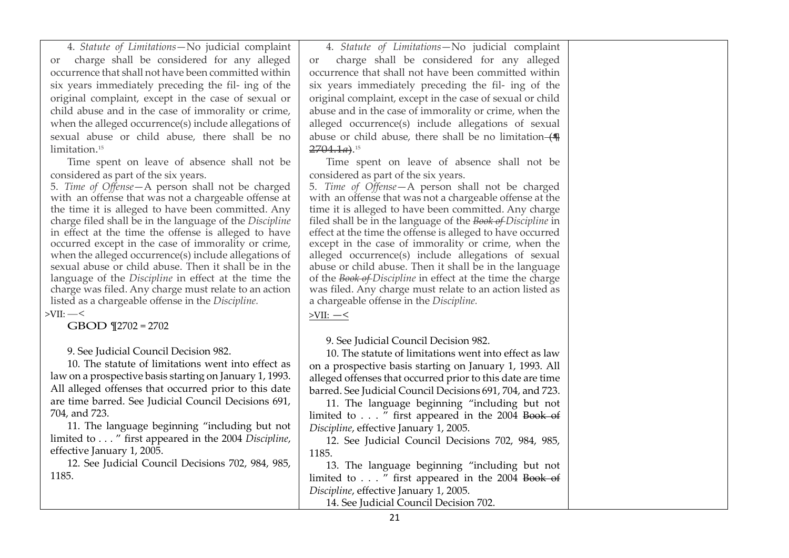4. *Statute of Limitations*—No judicial complaint or charge shall be considered for any alleged occurrence that shall not have been committed within six years immediately preceding the fil- ing of the original complaint, except in the case of sexual or child abuse and in the case of immorality or crime, when the alleged occurrence(s) include allegations of sexual abuse or child abuse, there shall be no limitation. 15

Time spent on leave of absence shall not be considered as part of the six years.

5. *Time of Offense*—A person shall not be charged with an offense that was not a chargeable offense at the time it is alleged to have been committed. Any charge filed shall be in the language of the *Discipline* in effect at the time the offense is alleged to have occurred except in the case of immorality or crime, when the alleged occurrence(s) include allegations of sexual abuse or child abuse. Then it shall be in the language of the *Discipline* in effect at the time the charge was filed. Any charge must relate to an action listed as a chargeable offense in the *Discipline.*

>VII: *—<*

GBOD ¶2702 = 2702

9. See Judicial Council Decision 982.

10. The statute of limitations went into effect as law on a prospective basis starting on January 1, 1993. All alleged offenses that occurred prior to this date are time barred. See Judicial Council Decisions 691, 704, and 723.

11. The language beginning "including but not limited to . . . " first appeared in the 2004 *Discipline*, effective January 1, 2005.

12. See Judicial Council Decisions 702, 984, 985, 1185.

4. *Statute of Limitations*—No judicial complaint or charge shall be considered for any alleged occurrence that shall not have been committed within six years immediately preceding the fil- ing of the original complaint, except in the case of sexual or child abuse and in the case of immorality or crime, when the alleged occurrence(s) include allegations of sexual abuse or child abuse, there shall be no limitation  $\left( \mathcal{L} \right)$ 2704.1*a*). 15

Time spent on leave of absence shall not be considered as part of the six years.

5. *Time of Offense*—A person shall not be charged with an offense that was not a chargeable offense at the time it is alleged to have been committed. Any charge filed shall be in the language of the *Book of Discipline* in effect at the time the offense is alleged to have occurred except in the case of immorality or crime, when the alleged occurrence(s) include allegations of sexual abuse or child abuse. Then it shall be in the language of the *Book of Discipline* in effect at the time the charge was filed. Any charge must relate to an action listed as a chargeable offense in the *Discipline.*

>VII: *—<*

9. See Judicial Council Decision 982.

10. The statute of limitations went into effect as law on a prospective basis starting on January 1, 1993. All alleged offenses that occurred prior to this date are time barred. See Judicial Council Decisions 691, 704, and 723.

11. The language beginning "including but not limited to . . . " first appeared in the 2004 Book of *Discipline*, effective January 1, 2005.

12. See Judicial Council Decisions 702, 984, 985, 1185.

13. The language beginning "including but not limited to . . . " first appeared in the 2004 Book of *Discipline*, effective January 1, 2005. 14. See Judicial Council Decision 702.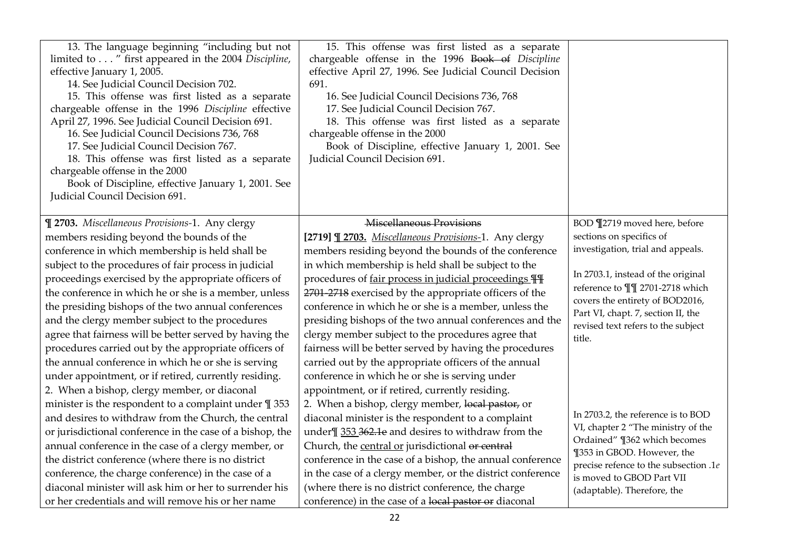| 13. The language beginning "including but not<br>limited to " first appeared in the 2004 Discipline,<br>effective January 1, 2005.<br>14. See Judicial Council Decision 702.<br>15. This offense was first listed as a separate<br>chargeable offense in the 1996 Discipline effective<br>April 27, 1996. See Judicial Council Decision 691.<br>16. See Judicial Council Decisions 736, 768<br>17. See Judicial Council Decision 767.<br>18. This offense was first listed as a separate<br>chargeable offense in the 2000<br>Book of Discipline, effective January 1, 2001. See<br>Judicial Council Decision 691.                                                             | 15. This offense was first listed as a separate<br>chargeable offense in the 1996 Book of Discipline<br>effective April 27, 1996. See Judicial Council Decision<br>691.<br>16. See Judicial Council Decisions 736, 768<br>17. See Judicial Council Decision 767.<br>18. This offense was first listed as a separate<br>chargeable offense in the 2000<br>Book of Discipline, effective January 1, 2001. See<br>Judicial Council Decision 691.                                                                                                                                                                                                                              |                                                                                                                                                                                                                                                                                                     |
|--------------------------------------------------------------------------------------------------------------------------------------------------------------------------------------------------------------------------------------------------------------------------------------------------------------------------------------------------------------------------------------------------------------------------------------------------------------------------------------------------------------------------------------------------------------------------------------------------------------------------------------------------------------------------------|----------------------------------------------------------------------------------------------------------------------------------------------------------------------------------------------------------------------------------------------------------------------------------------------------------------------------------------------------------------------------------------------------------------------------------------------------------------------------------------------------------------------------------------------------------------------------------------------------------------------------------------------------------------------------|-----------------------------------------------------------------------------------------------------------------------------------------------------------------------------------------------------------------------------------------------------------------------------------------------------|
| <b>Il</b> 2703. Miscellaneous Provisions-1. Any clergy<br>members residing beyond the bounds of the<br>conference in which membership is held shall be<br>subject to the procedures of fair process in judicial<br>proceedings exercised by the appropriate officers of<br>the conference in which he or she is a member, unless<br>the presiding bishops of the two annual conferences<br>and the clergy member subject to the procedures<br>agree that fairness will be better served by having the<br>procedures carried out by the appropriate officers of<br>the annual conference in which he or she is serving<br>under appointment, or if retired, currently residing. | <b>Miscellaneous Provisions</b><br>[2719] T 2703. Miscellaneous Provisions-1. Any clergy<br>members residing beyond the bounds of the conference<br>in which membership is held shall be subject to the<br>procedures of fair process in judicial proceedings TH<br>2701 2718 exercised by the appropriate officers of the<br>conference in which he or she is a member, unless the<br>presiding bishops of the two annual conferences and the<br>clergy member subject to the procedures agree that<br>fairness will be better served by having the procedures<br>carried out by the appropriate officers of the annual<br>conference in which he or she is serving under | BOD 12719 moved here, before<br>sections on specifics of<br>investigation, trial and appeals.<br>In 2703.1, instead of the original<br>reference to $\P\P$ 2701-2718 which<br>covers the entirety of BOD2016,<br>Part VI, chapt. 7, section II, the<br>revised text refers to the subject<br>title. |
| 2. When a bishop, clergy member, or diaconal<br>minister is the respondent to a complaint under \[ 353<br>and desires to withdraw from the Church, the central<br>or jurisdictional conference in the case of a bishop, the<br>annual conference in the case of a clergy member, or<br>the district conference (where there is no district<br>conference, the charge conference) in the case of a<br>diaconal minister will ask him or her to surrender his<br>or her credentials and will remove his or her name                                                                                                                                                              | appointment, or if retired, currently residing.<br>2. When a bishop, clergy member, local pastor, or<br>diaconal minister is the respondent to a complaint<br>under 1 353 362.1e and desires to withdraw from the<br>Church, the central or jurisdictional or central<br>conference in the case of a bishop, the annual conference<br>in the case of a clergy member, or the district conference<br>(where there is no district conference, the charge<br>conference) in the case of a local pastor or diaconal                                                                                                                                                            | In 2703.2, the reference is to BOD<br>VI, chapter 2 "The ministry of the<br>Ordained" ¶362 which becomes<br>¶353 in GBOD. However, the<br>precise refence to the subsection .1e<br>is moved to GBOD Part VII<br>(adaptable). Therefore, the                                                         |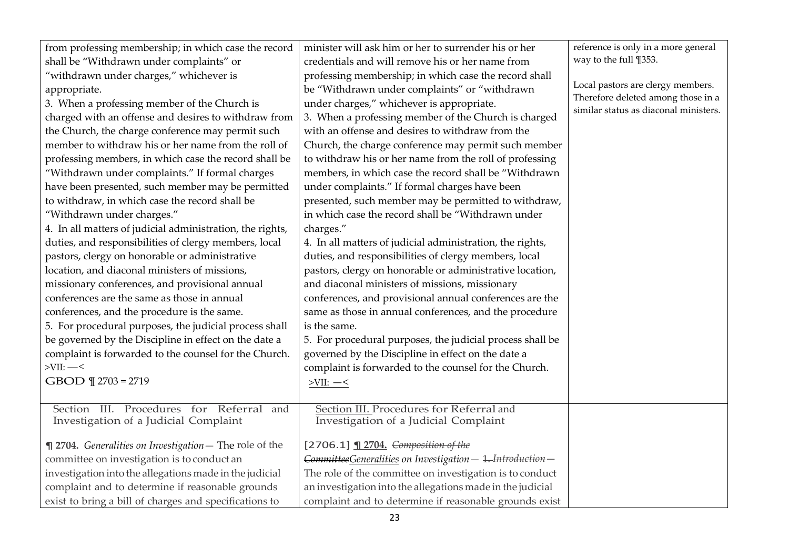| from professing membership; in which case the record         | minister will ask him or her to surrender his or her       | reference is only in a more general   |
|--------------------------------------------------------------|------------------------------------------------------------|---------------------------------------|
| shall be "Withdrawn under complaints" or                     | credentials and will remove his or her name from           | way to the full [353.                 |
| "withdrawn under charges," whichever is                      | professing membership; in which case the record shall      |                                       |
| appropriate.                                                 | be "Withdrawn under complaints" or "withdrawn              | Local pastors are clergy members.     |
| 3. When a professing member of the Church is                 | under charges," whichever is appropriate.                  | Therefore deleted among those in a    |
| charged with an offense and desires to withdraw from         | 3. When a professing member of the Church is charged       | similar status as diaconal ministers. |
| the Church, the charge conference may permit such            | with an offense and desires to withdraw from the           |                                       |
| member to withdraw his or her name from the roll of          | Church, the charge conference may permit such member       |                                       |
| professing members, in which case the record shall be        | to withdraw his or her name from the roll of professing    |                                       |
| "Withdrawn under complaints." If formal charges              | members, in which case the record shall be "Withdrawn      |                                       |
| have been presented, such member may be permitted            | under complaints." If formal charges have been             |                                       |
| to withdraw, in which case the record shall be               | presented, such member may be permitted to withdraw,       |                                       |
| "Withdrawn under charges."                                   | in which case the record shall be "Withdrawn under         |                                       |
| 4. In all matters of judicial administration, the rights,    | charges."                                                  |                                       |
| duties, and responsibilities of clergy members, local        | 4. In all matters of judicial administration, the rights,  |                                       |
| pastors, clergy on honorable or administrative               | duties, and responsibilities of clergy members, local      |                                       |
| location, and diaconal ministers of missions,                | pastors, clergy on honorable or administrative location,   |                                       |
| missionary conferences, and provisional annual               | and diaconal ministers of missions, missionary             |                                       |
| conferences are the same as those in annual                  | conferences, and provisional annual conferences are the    |                                       |
| conferences, and the procedure is the same.                  | same as those in annual conferences, and the procedure     |                                       |
| 5. For procedural purposes, the judicial process shall       | is the same.                                               |                                       |
| be governed by the Discipline in effect on the date a        | 5. For procedural purposes, the judicial process shall be  |                                       |
| complaint is forwarded to the counsel for the Church.        | governed by the Discipline in effect on the date a         |                                       |
| $>$ VII: $-$ <                                               | complaint is forwarded to the counsel for the Church.      |                                       |
| GBOD ¶ 2703 = 2719                                           | $>$ VII: $-$                                               |                                       |
|                                                              |                                                            |                                       |
| Section III. Procedures for Referral and                     | Section III. Procedures for Referral and                   |                                       |
| Investigation of a Judicial Complaint                        | Investigation of a Judicial Complaint                      |                                       |
| $\P$ 2704. Generalities on Investigation $-$ The role of the | [2706.1] 12704. Composition of the                         |                                       |
| committee on investigation is to conduct an                  | CommitteeGeneralities on Investigation - 1. Introduction - |                                       |
| investigation into the allegations made in the judicial      | The role of the committee on investigation is to conduct   |                                       |
| complaint and to determine if reasonable grounds             | an investigation into the allegations made in the judicial |                                       |
| exist to bring a bill of charges and specifications to       | complaint and to determine if reasonable grounds exist     |                                       |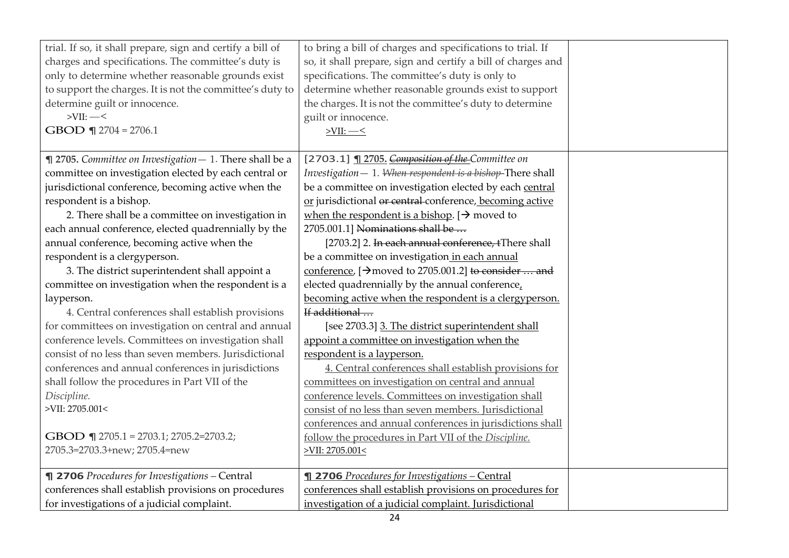| trial. If so, it shall prepare, sign and certify a bill of<br>charges and specifications. The committee's duty is<br>only to determine whether reasonable grounds exist<br>to support the charges. It is not the committee's duty to | to bring a bill of charges and specifications to trial. If<br>so, it shall prepare, sign and certify a bill of charges and<br>specifications. The committee's duty is only to<br>determine whether reasonable grounds exist to support |  |
|--------------------------------------------------------------------------------------------------------------------------------------------------------------------------------------------------------------------------------------|----------------------------------------------------------------------------------------------------------------------------------------------------------------------------------------------------------------------------------------|--|
| determine guilt or innocence.                                                                                                                                                                                                        | the charges. It is not the committee's duty to determine                                                                                                                                                                               |  |
| $>$ VII: $-$ <                                                                                                                                                                                                                       | guilt or innocence.                                                                                                                                                                                                                    |  |
| <b>GBOD</b> $\P$ 2704 = 2706.1                                                                                                                                                                                                       | $>$ VII: $-$                                                                                                                                                                                                                           |  |
|                                                                                                                                                                                                                                      |                                                                                                                                                                                                                                        |  |
| $\P$ 2705. Committee on Investigation $-1$ . There shall be a                                                                                                                                                                        | [2703.1] 12705. Composition of the Committee on                                                                                                                                                                                        |  |
| committee on investigation elected by each central or                                                                                                                                                                                | Investigation - 1. When respondent is a bishop-There shall                                                                                                                                                                             |  |
| jurisdictional conference, becoming active when the                                                                                                                                                                                  | be a committee on investigation elected by each central                                                                                                                                                                                |  |
| respondent is a bishop.                                                                                                                                                                                                              | or jurisdictional or central conference, becoming active                                                                                                                                                                               |  |
| 2. There shall be a committee on investigation in                                                                                                                                                                                    | when the respondent is a bishop. $\rightarrow$ moved to                                                                                                                                                                                |  |
| each annual conference, elected quadrennially by the                                                                                                                                                                                 | 2705.001.1] Nominations shall be                                                                                                                                                                                                       |  |
| annual conference, becoming active when the                                                                                                                                                                                          | [2703.2] 2. In each annual conference, tThere shall                                                                                                                                                                                    |  |
| respondent is a clergyperson.                                                                                                                                                                                                        | be a committee on investigation in each annual                                                                                                                                                                                         |  |
| 3. The district superintendent shall appoint a                                                                                                                                                                                       | conference, [→ moved to 2705.001.2] to consider  and                                                                                                                                                                                   |  |
| committee on investigation when the respondent is a                                                                                                                                                                                  | elected quadrennially by the annual conference,                                                                                                                                                                                        |  |
| layperson.                                                                                                                                                                                                                           | becoming active when the respondent is a clergyperson.                                                                                                                                                                                 |  |
| 4. Central conferences shall establish provisions                                                                                                                                                                                    | If additional                                                                                                                                                                                                                          |  |
| for committees on investigation on central and annual                                                                                                                                                                                | [see 2703.3] 3. The district superintendent shall                                                                                                                                                                                      |  |
| conference levels. Committees on investigation shall                                                                                                                                                                                 | appoint a committee on investigation when the                                                                                                                                                                                          |  |
| consist of no less than seven members. Jurisdictional                                                                                                                                                                                | respondent is a layperson.                                                                                                                                                                                                             |  |
| conferences and annual conferences in jurisdictions                                                                                                                                                                                  | 4. Central conferences shall establish provisions for                                                                                                                                                                                  |  |
| shall follow the procedures in Part VII of the                                                                                                                                                                                       | committees on investigation on central and annual                                                                                                                                                                                      |  |
| Discipline.                                                                                                                                                                                                                          | conference levels. Committees on investigation shall                                                                                                                                                                                   |  |
| >VII: 2705.001<                                                                                                                                                                                                                      | consist of no less than seven members. Jurisdictional                                                                                                                                                                                  |  |
|                                                                                                                                                                                                                                      | conferences and annual conferences in jurisdictions shall                                                                                                                                                                              |  |
| GBOD $\eta$ 2705.1 = 2703.1; 2705.2=2703.2;                                                                                                                                                                                          | follow the procedures in Part VII of the Discipline.                                                                                                                                                                                   |  |
| 2705.3=2703.3+new; 2705.4=new                                                                                                                                                                                                        | >VII: 2705.001<                                                                                                                                                                                                                        |  |
|                                                                                                                                                                                                                                      |                                                                                                                                                                                                                                        |  |
| <b>1</b> 2706 Procedures for Investigations - Central                                                                                                                                                                                | <b>1 2706</b> Procedures for Investigations - Central                                                                                                                                                                                  |  |
| conferences shall establish provisions on procedures                                                                                                                                                                                 | conferences shall establish provisions on procedures for                                                                                                                                                                               |  |
| for investigations of a judicial complaint.                                                                                                                                                                                          | investigation of a judicial complaint. Jurisdictional                                                                                                                                                                                  |  |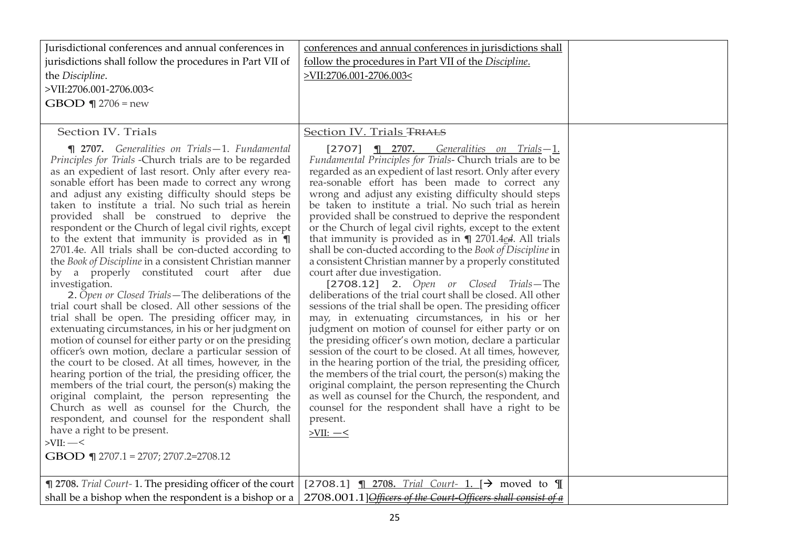| Jurisdictional conferences and annual conferences in<br>jurisdictions shall follow the procedures in Part VII of<br>the Discipline.<br>>VII:2706.001-2706.003<<br>GBOD $\P$ 2706 = new                                                                                                                                                                                                                                                                                                                                                                                                                                                                                                                                                                                                                                                                                                                                                                                                                                                                                                                                                                                                                                                                                                                                                                                                                                                                                                                                                                              | conferences and annual conferences in jurisdictions shall<br>follow the procedures in Part VII of the Discipline.<br>>VII:2706.001-2706.003<                                                                                                                                                                                                                                                                                                                                                                                                                                                                                                                                                                                                                                                                                                                                                                                                                                                                                                                                                                                                                                                                                                                                                                                                                                                                                                                                                                                                                            |  |
|---------------------------------------------------------------------------------------------------------------------------------------------------------------------------------------------------------------------------------------------------------------------------------------------------------------------------------------------------------------------------------------------------------------------------------------------------------------------------------------------------------------------------------------------------------------------------------------------------------------------------------------------------------------------------------------------------------------------------------------------------------------------------------------------------------------------------------------------------------------------------------------------------------------------------------------------------------------------------------------------------------------------------------------------------------------------------------------------------------------------------------------------------------------------------------------------------------------------------------------------------------------------------------------------------------------------------------------------------------------------------------------------------------------------------------------------------------------------------------------------------------------------------------------------------------------------|-------------------------------------------------------------------------------------------------------------------------------------------------------------------------------------------------------------------------------------------------------------------------------------------------------------------------------------------------------------------------------------------------------------------------------------------------------------------------------------------------------------------------------------------------------------------------------------------------------------------------------------------------------------------------------------------------------------------------------------------------------------------------------------------------------------------------------------------------------------------------------------------------------------------------------------------------------------------------------------------------------------------------------------------------------------------------------------------------------------------------------------------------------------------------------------------------------------------------------------------------------------------------------------------------------------------------------------------------------------------------------------------------------------------------------------------------------------------------------------------------------------------------------------------------------------------------|--|
| Section IV. Trials<br>$\P$ 2707. Generalities on Trials-1. Fundamental<br>Principles for Trials -Church trials are to be regarded<br>as an expedient of last resort. Only after every rea-<br>sonable effort has been made to correct any wrong<br>and adjust any existing difficulty should steps be<br>taken to institute a trial. No such trial as herein<br>provided shall be construed to deprive the<br>respondent or the Church of legal civil rights, except<br>to the extent that immunity is provided as in $\P$<br>2701.4e. All trials shall be con-ducted according to<br>the Book of Discipline in a consistent Christian manner<br>by a properly constituted court after due<br>investigation.<br>2. Open or Closed Trials-The deliberations of the<br>trial court shall be closed. All other sessions of the<br>trial shall be open. The presiding officer may, in<br>extenuating circumstances, in his or her judgment on<br>motion of counsel for either party or on the presiding<br>officer's own motion, declare a particular session of<br>the court to be closed. At all times, however, in the<br>hearing portion of the trial, the presiding officer, the<br>members of the trial court, the person(s) making the<br>original complaint, the person representing the<br>Church as well as counsel for the Church, the<br>respondent, and counsel for the respondent shall<br>have a right to be present.<br>$>$ VII: $-$ <<br>GBOD $\eta$ 2707.1 = 2707; 2707.2=2708.12<br><b>¶ 2708.</b> Trial Court-1. The presiding officer of the court | <b>Section IV. Trials TRIALS</b><br>$[2707]$ <u>¶ 2707. Generalities on Trials-1.</u><br>Fundamental Principles for Trials- Church trials are to be<br>regarded as an expedient of last resort. Only after every<br>rea-sonable effort has been made to correct any<br>wrong and adjust any existing difficulty should steps<br>be taken to institute a trial. No such trial as herein<br>provided shall be construed to deprive the respondent<br>or the Church of legal civil rights, except to the extent<br>that immunity is provided as in $\P$ 2701.4ed. All trials<br>shall be con-ducted according to the Book of Discipline in<br>a consistent Christian manner by a properly constituted<br>court after due investigation.<br>[2708.12] 2. Open or Closed Trials-The<br>deliberations of the trial court shall be closed. All other<br>sessions of the trial shall be open. The presiding officer<br>may, in extenuating circumstances, in his or her<br>judgment on motion of counsel for either party or on<br>the presiding officer's own motion, declare a particular<br>session of the court to be closed. At all times, however,<br>in the hearing portion of the trial, the presiding officer,<br>the members of the trial court, the person(s) making the<br>original complaint, the person representing the Church<br>as well as counsel for the Church, the respondent, and<br>counsel for the respondent shall have a right to be<br>present.<br>$>$ VII: $-$<br>[2708.1] $\mathbb{I}$ 2708. Trial Court- 1. [ $\rightarrow$ moved to $\mathbb{I}$ |  |
| shall be a bishop when the respondent is a bishop or a                                                                                                                                                                                                                                                                                                                                                                                                                                                                                                                                                                                                                                                                                                                                                                                                                                                                                                                                                                                                                                                                                                                                                                                                                                                                                                                                                                                                                                                                                                              | 2708.001.1] Officers of the Court-Officers shall consist of a                                                                                                                                                                                                                                                                                                                                                                                                                                                                                                                                                                                                                                                                                                                                                                                                                                                                                                                                                                                                                                                                                                                                                                                                                                                                                                                                                                                                                                                                                                           |  |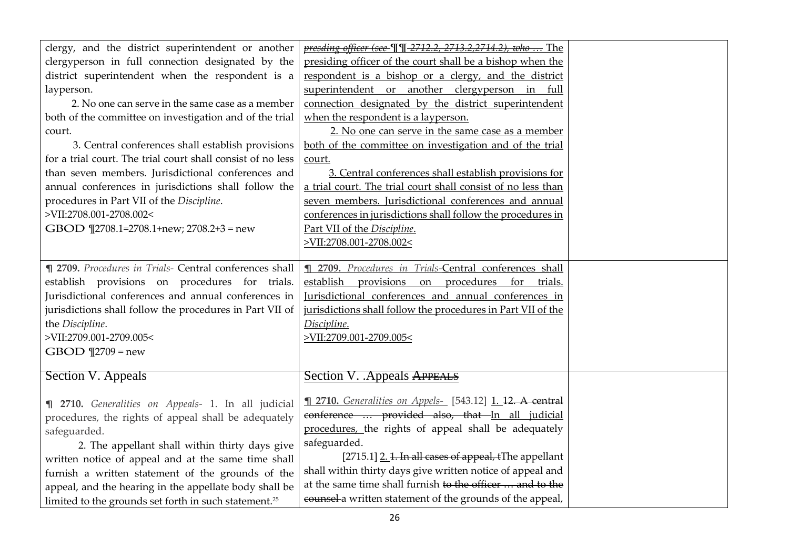| clergy, and the district superintendent or another                | presding officer (see-¶¶-2712.2, 2713.2,2714.2), who  The        |  |
|-------------------------------------------------------------------|------------------------------------------------------------------|--|
| clergyperson in full connection designated by the                 | presiding officer of the court shall be a bishop when the        |  |
| district superintendent when the respondent is a                  | respondent is a bishop or a clergy, and the district             |  |
| layperson.                                                        | superintendent or another clergyperson in full                   |  |
| 2. No one can serve in the same case as a member                  | connection designated by the district superintendent             |  |
| both of the committee on investigation and of the trial           | when the respondent is a layperson.                              |  |
| court.                                                            | 2. No one can serve in the same case as a member                 |  |
| 3. Central conferences shall establish provisions                 | both of the committee on investigation and of the trial          |  |
| for a trial court. The trial court shall consist of no less       | court.                                                           |  |
| than seven members. Jurisdictional conferences and                | 3. Central conferences shall establish provisions for            |  |
| annual conferences in jurisdictions shall follow the              | a trial court. The trial court shall consist of no less than     |  |
| procedures in Part VII of the Discipline.                         | seven members. Jurisdictional conferences and annual             |  |
| >VII:2708.001-2708.002<                                           | conferences in jurisdictions shall follow the procedures in      |  |
| GBOD $\text{\textsterling}2708.1=2708.1+$ new; 2708.2+3 = new     | Part VII of the Discipline.                                      |  |
|                                                                   | >VII:2708.001-2708.002<                                          |  |
|                                                                   |                                                                  |  |
| ¶ 2709. Procedures in Trials- Central conferences shall           | <b>1</b> 2709. Procedures in Trials-Central conferences shall    |  |
| establish provisions on procedures for trials.                    | establish provisions on procedures for trials.                   |  |
| Jurisdictional conferences and annual conferences in              | Jurisdictional conferences and annual conferences in             |  |
| jurisdictions shall follow the procedures in Part VII of          | jurisdictions shall follow the procedures in Part VII of the     |  |
| the Discipline.                                                   | Discipline.                                                      |  |
| >VII:2709.001-2709.005<                                           | >VII:2709.001-2709.005<                                          |  |
| GBOD $\P$ 2709 = new                                              |                                                                  |  |
|                                                                   |                                                                  |  |
| Section V. Appeals                                                | Section V. .Appeals APPEALS                                      |  |
|                                                                   | <b>1 2710.</b> Generalities on Appels- [543.12] 1. 12. A central |  |
| 1 2710. Generalities on Appeals- 1. In all judicial               | conference  provided also, that In all judicial                  |  |
| procedures, the rights of appeal shall be adequately              |                                                                  |  |
| safeguarded.                                                      | procedures, the rights of appeal shall be adequately             |  |
| 2. The appellant shall within thirty days give                    | safeguarded.                                                     |  |
| written notice of appeal and at the same time shall               | [2715.1] 2.1. In all cases of appeal, tThe appellant             |  |
| furnish a written statement of the grounds of the                 | shall within thirty days give written notice of appeal and       |  |
| appeal, and the hearing in the appellate body shall be            | at the same time shall furnish to the officer  and to the        |  |
| limited to the grounds set forth in such statement. <sup>25</sup> | counsel a written statement of the grounds of the appeal,        |  |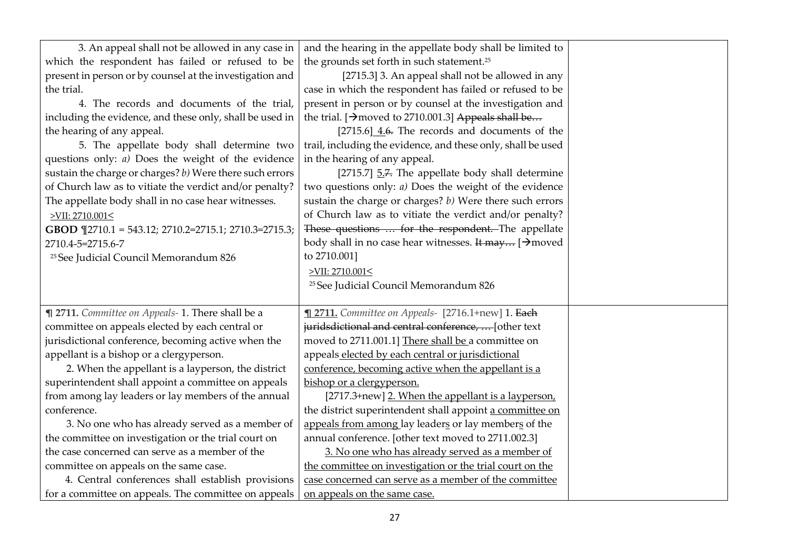| 3. An appeal shall not be allowed in any case in            | and the hearing in the appellate body shall be limited to        |  |
|-------------------------------------------------------------|------------------------------------------------------------------|--|
| which the respondent has failed or refused to be            | the grounds set forth in such statement. <sup>25</sup>           |  |
| present in person or by counsel at the investigation and    | [2715.3] 3. An appeal shall not be allowed in any                |  |
| the trial.                                                  | case in which the respondent has failed or refused to be         |  |
| 4. The records and documents of the trial,                  | present in person or by counsel at the investigation and         |  |
| including the evidence, and these only, shall be used in    | the trial. [ $\rightarrow$ moved to 2710.001.3] Appeals shall be |  |
| the hearing of any appeal.                                  | $[2715.6]$ $\underline{4.6}$ . The records and documents of the  |  |
| 5. The appellate body shall determine two                   | trail, including the evidence, and these only, shall be used     |  |
| questions only: <i>a</i> ) Does the weight of the evidence  | in the hearing of any appeal.                                    |  |
| sustain the charge or charges? $b$ ) Were there such errors | [2715.7] 5.7. The appellate body shall determine                 |  |
| of Church law as to vitiate the verdict and/or penalty?     | two questions only: $a$ ) Does the weight of the evidence        |  |
| The appellate body shall in no case hear witnesses.         | sustain the charge or charges? $b$ ) Were there such errors      |  |
| >VII: 2710.001<                                             | of Church law as to vitiate the verdict and/or penalty?          |  |
| GBOD $\P$ 2710.1 = 543.12; 2710.2=2715.1; 2710.3=2715.3;    | These questions  for the respondent. The appellate               |  |
| 2710.4-5=2715.6-7                                           | body shall in no case hear witnesses. It may [→moved             |  |
| <sup>25</sup> See Judicial Council Memorandum 826           | to 2710.001]                                                     |  |
|                                                             | >VII: 2710.001<                                                  |  |
|                                                             | <sup>25</sup> See Judicial Council Memorandum 826                |  |
|                                                             |                                                                  |  |
| ¶ 2711. Committee on Appeals- 1. There shall be a           | 1. Each 12711. Committee on Appeals- [2716.1+new] 1. Each        |  |
| committee on appeals elected by each central or             | juridsdictional and central conference,  [other text             |  |
| jurisdictional conference, becoming active when the         | moved to 2711.001.1] There shall be a committee on               |  |
| appellant is a bishop or a clergyperson.                    | appeals elected by each central or jurisdictional                |  |
| 2. When the appellant is a layperson, the district          | conference, becoming active when the appellant is a              |  |
| superintendent shall appoint a committee on appeals         | bishop or a clergyperson.                                        |  |
| from among lay leaders or lay members of the annual         | [2717.3+new] 2. When the appellant is a layperson,               |  |
| conference.                                                 | the district superintendent shall appoint a committee on         |  |
| 3. No one who has already served as a member of             | appeals from among lay leaders or lay members of the             |  |
| the committee on investigation or the trial court on        | annual conference. [other text moved to 2711.002.3]              |  |
| the case concerned can serve as a member of the             | 3. No one who has already served as a member of                  |  |
| committee on appeals on the same case.                      | the committee on investigation or the trial court on the         |  |
| 4. Central conferences shall establish provisions           | case concerned can serve as a member of the committee            |  |
| for a committee on appeals. The committee on appeals        | on appeals on the same case.                                     |  |